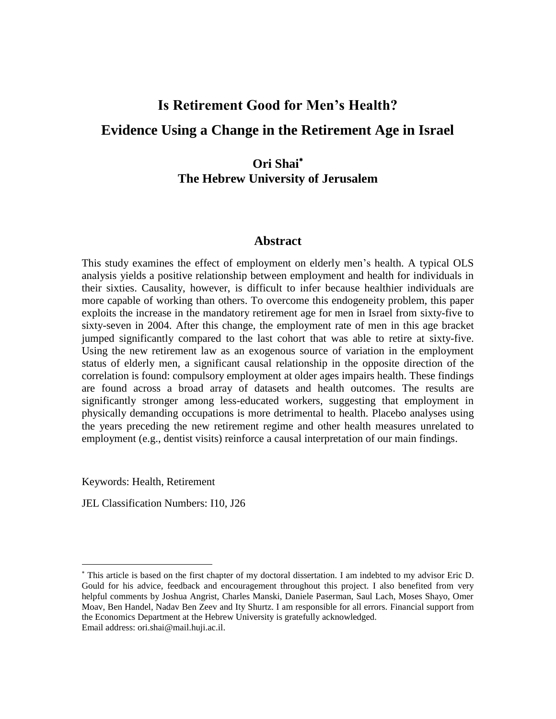# **Is Retirement Good for Men's Health? Evidence Using a Change in the Retirement Age in Israel**

## **Ori Shai The Hebrew University of Jerusalem**

## **Abstract**

This study examines the effect of employment on elderly men's health. A typical OLS analysis yields a positive relationship between employment and health for individuals in their sixties. Causality, however, is difficult to infer because healthier individuals are more capable of working than others. To overcome this endogeneity problem, this paper exploits the increase in the mandatory retirement age for men in Israel from sixty-five to sixty-seven in 2004. After this change, the employment rate of men in this age bracket jumped significantly compared to the last cohort that was able to retire at sixty-five. Using the new retirement law as an exogenous source of variation in the employment status of elderly men, a significant causal relationship in the opposite direction of the correlation is found: compulsory employment at older ages impairs health. These findings are found across a broad array of datasets and health outcomes. The results are significantly stronger among less-educated workers, suggesting that employment in physically demanding occupations is more detrimental to health. Placebo analyses using the years preceding the new retirement regime and other health measures unrelated to employment (e.g., dentist visits) reinforce a causal interpretation of our main findings.

Keywords: Health, Retirement

 $\overline{\phantom{a}}$ 

JEL Classification Numbers: I10, J26

This article is based on the first chapter of my doctoral dissertation. I am indebted to my advisor Eric D. Gould for his advice, feedback and encouragement throughout this project. I also benefited from very helpful comments by Joshua Angrist, Charles Manski, Daniele Paserman, Saul Lach, Moses Shayo, Omer Moav, Ben Handel, Nadav Ben Zeev and Ity Shurtz. I am responsible for all errors. Financial support from the Economics Department at the Hebrew University is gratefully acknowledged. Email address[: ori.shai@mail.huji.ac.il.](mailto:ori.shai@mail.huji.ac.il)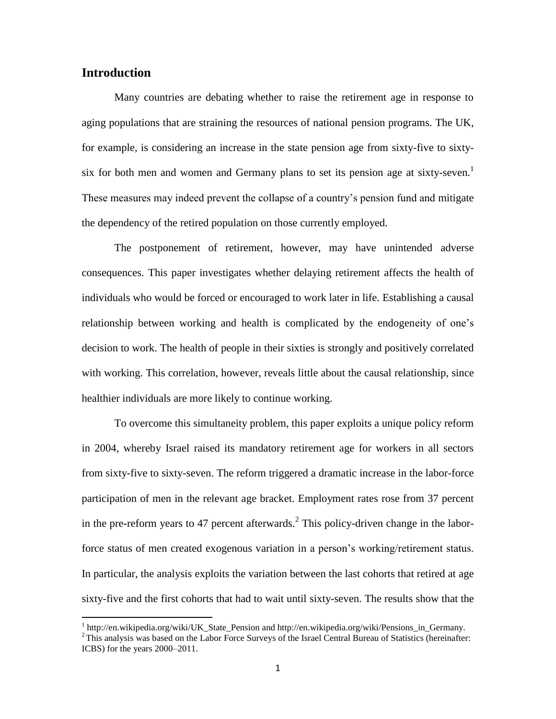## **Introduction**

 $\overline{\phantom{a}}$ 

Many countries are debating whether to raise the retirement age in response to aging populations that are straining the resources of national pension programs. The UK, for example, is considering an increase in the state pension age from sixty-five to sixtysix for both men and women and Germany plans to set its pension age at sixty-seven.<sup>1</sup> These measures may indeed prevent the collapse of a country's pension fund and mitigate the dependency of the retired population on those currently employed.

The postponement of retirement, however, may have unintended adverse consequences. This paper investigates whether delaying retirement affects the health of individuals who would be forced or encouraged to work later in life. Establishing a causal relationship between working and health is complicated by the endogeneity of one's decision to work. The health of people in their sixties is strongly and positively correlated with working. This correlation, however, reveals little about the causal relationship, since healthier individuals are more likely to continue working.

To overcome this simultaneity problem, this paper exploits a unique policy reform in 2004, whereby Israel raised its mandatory retirement age for workers in all sectors from sixty-five to sixty-seven. The reform triggered a dramatic increase in the labor-force participation of men in the relevant age bracket. Employment rates rose from 37 percent in the pre-reform years to 47 percent afterwards.<sup>2</sup> This policy-driven change in the laborforce status of men created exogenous variation in a person's working/retirement status. In particular, the analysis exploits the variation between the last cohorts that retired at age sixty-five and the first cohorts that had to wait until sixty-seven. The results show that the

<sup>&</sup>lt;sup>1</sup> [http://en.wikipedia.org/wiki/UK\\_State\\_Pension](http://en.wikipedia.org/wiki/UK_State_Pension) and http://en.wikipedia.org/wiki/Pensions\_in\_Germany. <sup>2</sup>This analysis was based on the Labor Force Surveys of the Israel Central Bureau of Statistics (hereinafter: ICBS) for the years 2000–2011.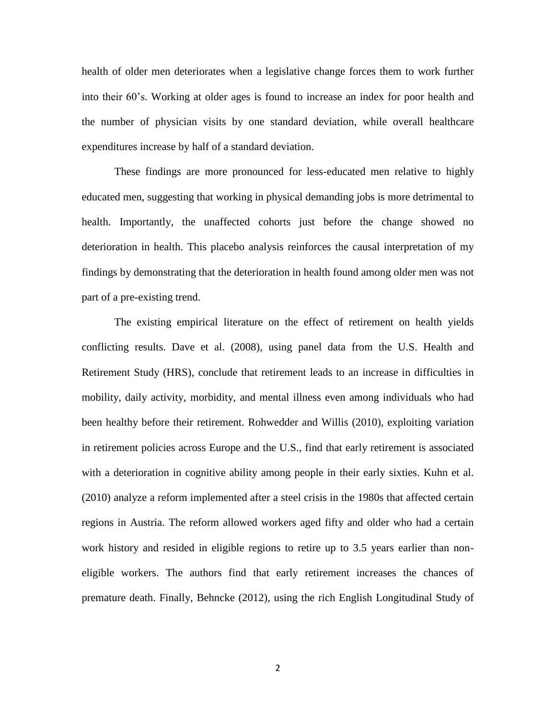health of older men deteriorates when a legislative change forces them to work further into their 60's. Working at older ages is found to increase an index for poor health and the number of physician visits by one standard deviation, while overall healthcare expenditures increase by half of a standard deviation.

These findings are more pronounced for less-educated men relative to highly educated men, suggesting that working in physical demanding jobs is more detrimental to health. Importantly, the unaffected cohorts just before the change showed no deterioration in health. This placebo analysis reinforces the causal interpretation of my findings by demonstrating that the deterioration in health found among older men was not part of a pre-existing trend.

The existing empirical literature on the effect of retirement on health yields conflicting results. Dave et al. (2008), using panel data from the U.S. Health and Retirement Study (HRS), conclude that retirement leads to an increase in difficulties in mobility, daily activity, morbidity, and mental illness even among individuals who had been healthy before their retirement. Rohwedder and Willis (2010), exploiting variation in retirement policies across Europe and the U.S., find that early retirement is associated with a deterioration in cognitive ability among people in their early sixties. Kuhn et al. (2010) analyze a reform implemented after a steel crisis in the 1980s that affected certain regions in Austria. The reform allowed workers aged fifty and older who had a certain work history and resided in eligible regions to retire up to 3.5 years earlier than noneligible workers. The authors find that early retirement increases the chances of premature death. Finally, Behncke (2012), using the rich English Longitudinal Study of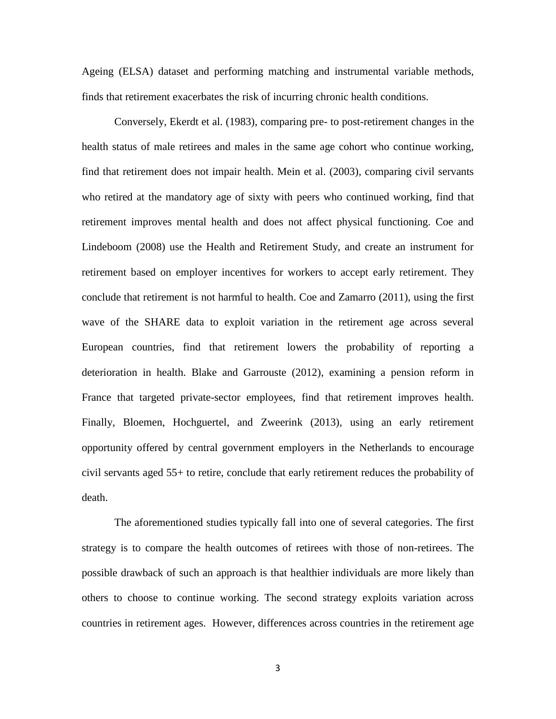Ageing (ELSA) dataset and performing matching and instrumental variable methods, finds that retirement exacerbates the risk of incurring chronic health conditions.

Conversely, Ekerdt et al. (1983), comparing pre- to post-retirement changes in the health status of male retirees and males in the same age cohort who continue working, find that retirement does not impair health. Mein et al. (2003), comparing civil servants who retired at the mandatory age of sixty with peers who continued working, find that retirement improves mental health and does not affect physical functioning. Coe and Lindeboom (2008) use the Health and Retirement Study, and create an instrument for retirement based on employer incentives for workers to accept early retirement. They conclude that retirement is not harmful to health. Coe and Zamarro (2011), using the first wave of the SHARE data to exploit variation in the retirement age across several European countries, find that retirement lowers the probability of reporting a deterioration in health. Blake and Garrouste (2012), examining a pension reform in France that targeted private-sector employees, find that retirement improves health. Finally, Bloemen, Hochguertel, and Zweerink (2013), using an early retirement opportunity offered by central government employers in the Netherlands to encourage civil servants aged 55+ to retire, conclude that early retirement reduces the probability of death.

The aforementioned studies typically fall into one of several categories. The first strategy is to compare the health outcomes of retirees with those of non-retirees. The possible drawback of such an approach is that healthier individuals are more likely than others to choose to continue working. The second strategy exploits variation across countries in retirement ages. However, differences across countries in the retirement age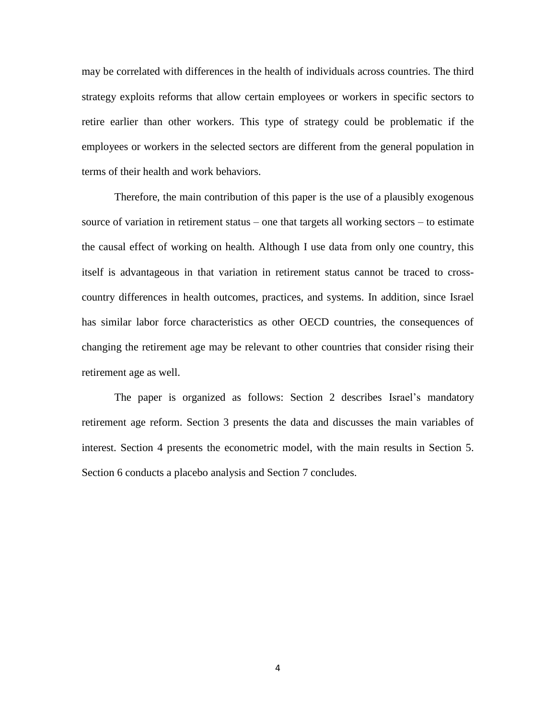may be correlated with differences in the health of individuals across countries. The third strategy exploits reforms that allow certain employees or workers in specific sectors to retire earlier than other workers. This type of strategy could be problematic if the employees or workers in the selected sectors are different from the general population in terms of their health and work behaviors.

Therefore, the main contribution of this paper is the use of a plausibly exogenous source of variation in retirement status – one that targets all working sectors – to estimate the causal effect of working on health. Although I use data from only one country, this itself is advantageous in that variation in retirement status cannot be traced to crosscountry differences in health outcomes, practices, and systems. In addition, since Israel has similar labor force characteristics as other OECD countries, the consequences of changing the retirement age may be relevant to other countries that consider rising their retirement age as well.

The paper is organized as follows: Section 2 describes Israel's mandatory retirement age reform. Section 3 presents the data and discusses the main variables of interest. Section 4 presents the econometric model, with the main results in Section 5. Section 6 conducts a placebo analysis and Section 7 concludes.

4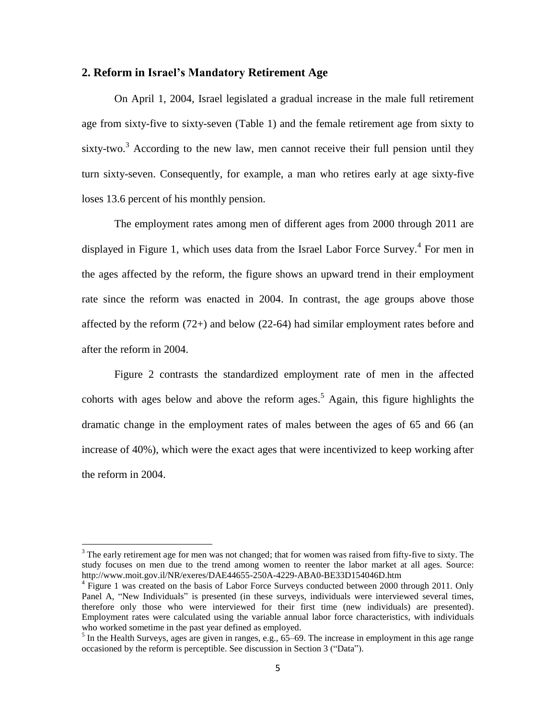## **2. Reform in Israel's Mandatory Retirement Age**

On April 1, 2004, Israel legislated a gradual increase in the male full retirement age from sixty-five to sixty-seven (Table 1) and the female retirement age from sixty to sixty-two.<sup>3</sup> According to the new law, men cannot receive their full pension until they turn sixty-seven. Consequently, for example, a man who retires early at age sixty-five loses 13.6 percent of his monthly pension.

The employment rates among men of different ages from 2000 through 2011 are displayed in Figure 1, which uses data from the Israel Labor Force Survey. 4 For men in the ages affected by the reform, the figure shows an upward trend in their employment rate since the reform was enacted in 2004. In contrast, the age groups above those affected by the reform (72+) and below (22-64) had similar employment rates before and after the reform in 2004.

Figure 2 contrasts the standardized employment rate of men in the affected cohorts with ages below and above the reform ages.<sup>5</sup> Again, this figure highlights the dramatic change in the employment rates of males between the ages of 65 and 66 (an increase of 40%), which were the exact ages that were incentivized to keep working after the reform in 2004.

 $3$  The early retirement age for men was not changed; that for women was raised from fifty-five to sixty. The study focuses on men due to the trend among women to reenter the labor market at all ages. Source: <http://www.moit.gov.il/NR/exeres/DAE44655-250A-4229-ABA0-BE33D154046D.htm>

<sup>&</sup>lt;sup>4</sup> Figure 1 was created on the basis of Labor Force Surveys conducted between 2000 through 2011. Only Panel A, "New Individuals" is presented (in these surveys, individuals were interviewed several times, therefore only those who were interviewed for their first time (new individuals) are presented). Employment rates were calculated using the variable annual labor force characteristics, with individuals who worked sometime in the past year defined as employed.

<sup>&</sup>lt;sup>5</sup> In the Health Surveys, ages are given in ranges, e.g., 65–69. The increase in employment in this age range occasioned by the reform is perceptible. See discussion in Section 3 ("Data").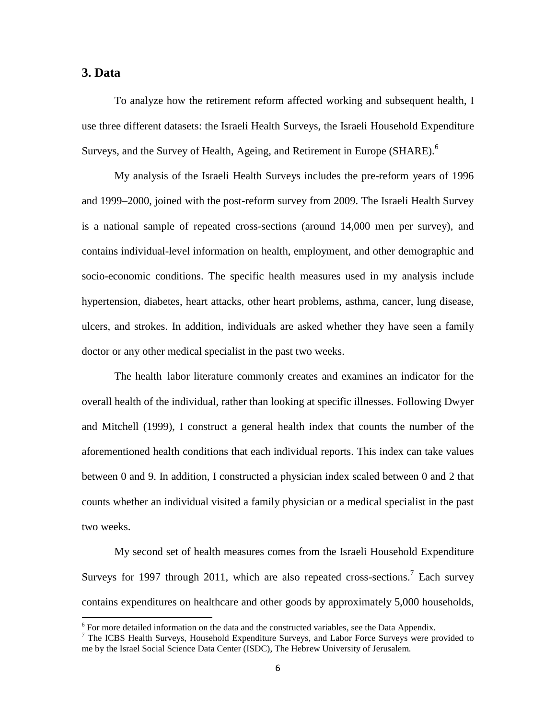## **3. Data**

 $\overline{\phantom{a}}$ 

To analyze how the retirement reform affected working and subsequent health, I use three different datasets: the Israeli Health Surveys, the Israeli Household Expenditure Surveys, and the Survey of Health, Ageing, and Retirement in Europe (SHARE).<sup>6</sup>

My analysis of the Israeli Health Surveys includes the pre-reform years of 1996 and 1999–2000, joined with the post-reform survey from 2009. The Israeli Health Survey is a national sample of repeated cross-sections (around 14,000 men per survey), and contains individual-level information on health, employment, and other demographic and socio-economic conditions. The specific health measures used in my analysis include hypertension, diabetes, heart attacks, other heart problems, asthma, cancer, lung disease, ulcers, and strokes. In addition, individuals are asked whether they have seen a family doctor or any other medical specialist in the past two weeks.

The health–labor literature commonly creates and examines an indicator for the overall health of the individual, rather than looking at specific illnesses. Following Dwyer and Mitchell (1999), I construct a general health index that counts the number of the aforementioned health conditions that each individual reports. This index can take values between 0 and 9. In addition, I constructed a physician index scaled between 0 and 2 that counts whether an individual visited a family physician or a medical specialist in the past two weeks.

My second set of health measures comes from the Israeli Household Expenditure Surveys for 1997 through 2011, which are also repeated cross-sections.<sup>7</sup> Each survey contains expenditures on healthcare and other goods by approximately 5,000 households,

<sup>&</sup>lt;sup>6</sup> For more detailed information on the data and the constructed variables, see the Data Appendix.

<sup>&</sup>lt;sup>7</sup> The ICBS Health Surveys, Household Expenditure Surveys, and Labor Force Surveys were provided to me by the Israel Social Science Data Center (ISDC), The Hebrew University of Jerusalem.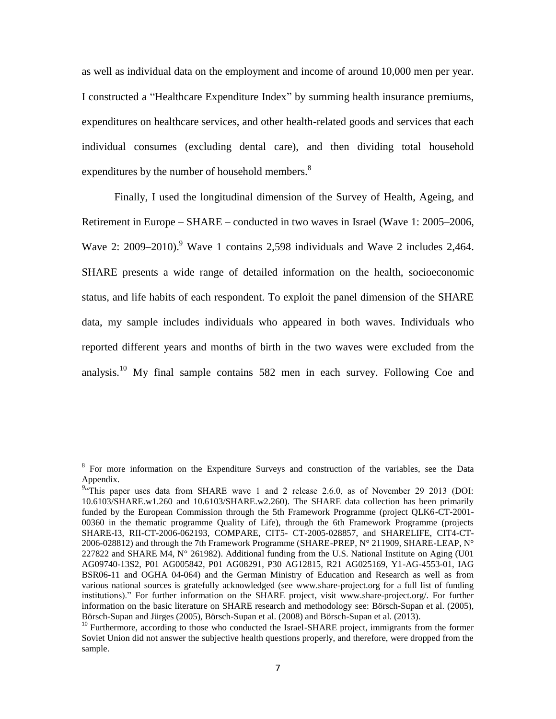as well as individual data on the employment and income of around 10,000 men per year. I constructed a "Healthcare Expenditure Index" by summing health insurance premiums, expenditures on healthcare services, and other health-related goods and services that each individual consumes (excluding dental care), and then dividing total household expenditures by the number of household members.<sup>8</sup>

Finally, I used the longitudinal dimension of the Survey of Health, Ageing, and Retirement in Europe – SHARE – conducted in two waves in Israel (Wave 1: 2005–2006, Wave 2: 2009–2010).<sup>9</sup> Wave 1 contains 2,598 individuals and Wave 2 includes 2,464. SHARE presents a wide range of detailed information on the health, socioeconomic status, and life habits of each respondent. To exploit the panel dimension of the SHARE data, my sample includes individuals who appeared in both waves. Individuals who reported different years and months of birth in the two waves were excluded from the analysis.<sup>10</sup> My final sample contains 582 men in each survey. Following Coe and

 $\overline{a}$ 

<sup>&</sup>lt;sup>8</sup> For more information on the Expenditure Surveys and construction of the variables, see the Data Appendix.

<sup>&</sup>lt;sup>9</sup><sup>2</sup>This paper uses data from SHARE wave 1 and 2 release 2.6.0, as of November 29 2013 (DOI: 10.6103/SHARE.w1.260 and 10.6103/SHARE.w2.260). The SHARE data collection has been primarily funded by the European Commission through the 5th Framework Programme (project QLK6-CT-2001- 00360 in the thematic programme Quality of Life), through the 6th Framework Programme (projects SHARE-I3, RII-CT-2006-062193, COMPARE, CIT5- CT-2005-028857, and SHARELIFE, CIT4-CT-2006-028812) and through the 7th Framework Programme (SHARE-PREP,  $N^{\circ}$  211909, SHARE-LEAP,  $N^{\circ}$ 227822 and SHARE M4,  $N^{\circ}$  261982). Additional funding from the U.S. National Institute on Aging (U01 AG09740-13S2, P01 AG005842, P01 AG08291, P30 AG12815, R21 AG025169, Y1-AG-4553-01, IAG BSR06-11 and OGHA 04-064) and the German Ministry of Education and Research as well as from various national sources is gratefully acknowledged (see www.share-project.org for a full list of funding institutions)." For further information on the SHARE project, visit [www.share-project.org/.](http://www.share-project.org/) For further information on the basic literature on SHARE research and methodology see: Börsch-Supan et al. (2005), Börsch-Supan and Jürges (2005), Börsch-Supan et al. (2008) and Börsch-Supan et al. (2013).

<sup>&</sup>lt;sup>10</sup> Furthermore, according to those who conducted the Israel-SHARE project, immigrants from the former Soviet Union did not answer the subjective health questions properly, and therefore, were dropped from the sample.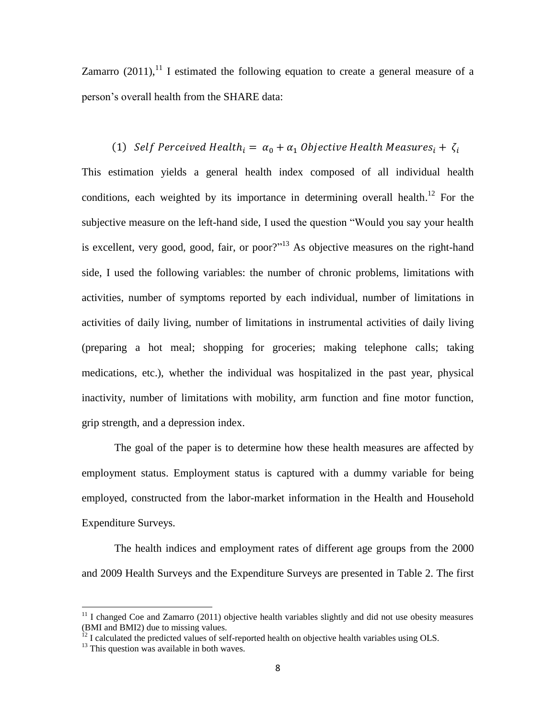Zamarro  $(2011)$ ,<sup>11</sup> I estimated the following equation to create a general measure of a person's overall health from the SHARE data:

(1) Self Perceived Health<sub>i</sub> =  $\alpha_0 + \alpha_1$  Objective Health Measures<sub>i</sub> +  $\zeta_i$ This estimation yields a general health index composed of all individual health conditions, each weighted by its importance in determining overall health.<sup>12</sup> For the subjective measure on the left-hand side, I used the question "Would you say your health is excellent, very good, good, fair, or poor?"<sup>13</sup> As objective measures on the right-hand side, I used the following variables: the number of chronic problems, limitations with activities, number of symptoms reported by each individual, number of limitations in activities of daily living, number of limitations in instrumental activities of daily living (preparing a hot meal; shopping for groceries; making telephone calls; taking medications, etc.), whether the individual was hospitalized in the past year, physical inactivity, number of limitations with mobility, arm function and fine motor function, grip strength, and a depression index.

The goal of the paper is to determine how these health measures are affected by employment status. Employment status is captured with a dummy variable for being employed, constructed from the labor-market information in the Health and Household Expenditure Surveys.

The health indices and employment rates of different age groups from the 2000 and 2009 Health Surveys and the Expenditure Surveys are presented in Table 2. The first

 $11$  I changed Coe and Zamarro (2011) objective health variables slightly and did not use obesity measures (BMI and BMI2) due to missing values.

 $^{12}$  I calculated the predicted values of self-reported health on objective health variables using OLS.

 $13$  This question was available in both waves.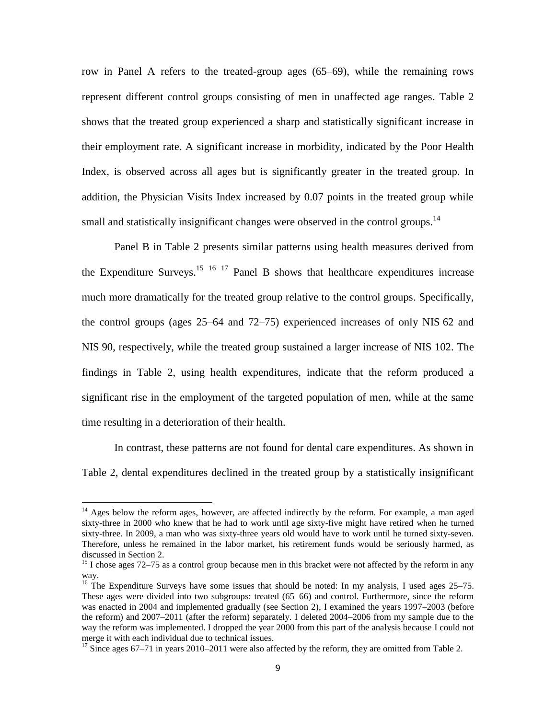row in Panel A refers to the treated-group ages (65–69), while the remaining rows represent different control groups consisting of men in unaffected age ranges. Table 2 shows that the treated group experienced a sharp and statistically significant increase in their employment rate. A significant increase in morbidity, indicated by the Poor Health Index, is observed across all ages but is significantly greater in the treated group. In addition, the Physician Visits Index increased by 0.07 points in the treated group while small and statistically insignificant changes were observed in the control groups.<sup>14</sup>

Panel B in Table 2 presents similar patterns using health measures derived from the Expenditure Surveys.<sup>15 16 17</sup> Panel B shows that healthcare expenditures increase much more dramatically for the treated group relative to the control groups. Specifically, the control groups (ages 25–64 and 72–75) experienced increases of only NIS 62 and NIS 90, respectively, while the treated group sustained a larger increase of NIS 102. The findings in Table 2, using health expenditures, indicate that the reform produced a significant rise in the employment of the targeted population of men, while at the same time resulting in a deterioration of their health.

In contrast, these patterns are not found for dental care expenditures. As shown in Table 2, dental expenditures declined in the treated group by a statistically insignificant

 $\overline{a}$ 

<sup>&</sup>lt;sup>14</sup> Ages below the reform ages, however, are affected indirectly by the reform. For example, a man aged sixty-three in 2000 who knew that he had to work until age sixty-five might have retired when he turned sixty-three. In 2009, a man who was sixty-three years old would have to work until he turned sixty-seven. Therefore, unless he remained in the labor market, his retirement funds would be seriously harmed, as discussed in Section 2.

 $15$  I chose ages 72–75 as a control group because men in this bracket were not affected by the reform in any way.

<sup>&</sup>lt;sup>16</sup> The Expenditure Surveys have some issues that should be noted: In my analysis, I used ages 25–75. These ages were divided into two subgroups: treated (65–66) and control. Furthermore, since the reform was enacted in 2004 and implemented gradually (see Section 2), I examined the years 1997–2003 (before the reform) and 2007–2011 (after the reform) separately. I deleted 2004–2006 from my sample due to the way the reform was implemented. I dropped the year 2000 from this part of the analysis because I could not merge it with each individual due to technical issues.

 $17$  Since ages 67–71 in years 2010–2011 were also affected by the reform, they are omitted from Table 2.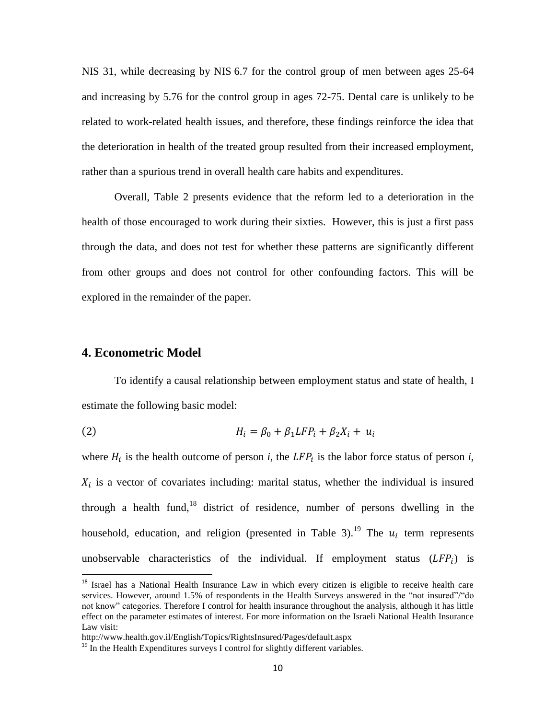NIS 31, while decreasing by NIS 6.7 for the control group of men between ages 25-64 and increasing by 5.76 for the control group in ages 72-75. Dental care is unlikely to be related to work-related health issues, and therefore, these findings reinforce the idea that the deterioration in health of the treated group resulted from their increased employment, rather than a spurious trend in overall health care habits and expenditures.

Overall, Table 2 presents evidence that the reform led to a deterioration in the health of those encouraged to work during their sixties. However, this is just a first pass through the data, and does not test for whether these patterns are significantly different from other groups and does not control for other confounding factors. This will be explored in the remainder of the paper.

## **4. Econometric Model**

 $\overline{a}$ 

To identify a causal relationship between employment status and state of health, I estimate the following basic model:

(2) 
$$
H_i = \beta_0 + \beta_1 L F P_i + \beta_2 X_i + u_i
$$

where  $H_i$  is the health outcome of person *i*, the LFP<sub>i</sub> is the labor force status of person *i*,  $X_i$  is a vector of covariates including: marital status, whether the individual is insured through a health fund,<sup>18</sup> district of residence, number of persons dwelling in the household, education, and religion (presented in Table 3).<sup>19</sup> The  $u_i$  term represents unobservable characteristics of the individual. If employment status  $(LFP_i)$  is

<sup>&</sup>lt;sup>18</sup> Israel has a National Health Insurance Law in which every citizen is eligible to receive health care services. However, around 1.5% of respondents in the Health Surveys answered in the "not insured"/"do not know" categories. Therefore I control for health insurance throughout the analysis, although it has little effect on the parameter estimates of interest. For more information on the Israeli National Health Insurance Law visit:

http://www.health.gov.il/English/Topics/RightsInsured/Pages/default.aspx

 $19$  In the Health Expenditures surveys I control for slightly different variables.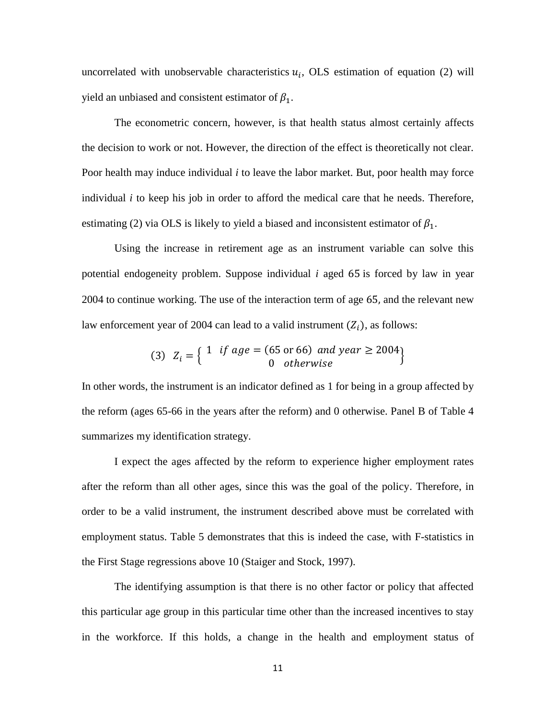uncorrelated with unobservable characteristics  $u_i$ , OLS estimation of equation (2) will yield an unbiased and consistent estimator of  $\beta_1$ .

The econometric concern, however, is that health status almost certainly affects the decision to work or not. However, the direction of the effect is theoretically not clear. Poor health may induce individual *i* to leave the labor market. But, poor health may force individual *i* to keep his job in order to afford the medical care that he needs. Therefore, estimating (2) via OLS is likely to yield a biased and inconsistent estimator of  $\beta_1$ .

Using the increase in retirement age as an instrument variable can solve this potential endogeneity problem. Suppose individual  $i$  aged  $65$  is forced by law in year 2004 to continue working. The use of the interaction term of age 65, and the relevant new law enforcement year of 2004 can lead to a valid instrument  $(Z_i)$ , as follows:

(3) 
$$
Z_i = \begin{cases} 1 & \text{if age} = (65 \text{ or } 66) & \text{and year} \ge 2004 \\ 0 & \text{otherwise} \end{cases}
$$

In other words, the instrument is an indicator defined as 1 for being in a group affected by the reform (ages 65-66 in the years after the reform) and 0 otherwise. Panel B of Table 4 summarizes my identification strategy.

I expect the ages affected by the reform to experience higher employment rates after the reform than all other ages, since this was the goal of the policy. Therefore, in order to be a valid instrument, the instrument described above must be correlated with employment status. Table 5 demonstrates that this is indeed the case, with F-statistics in the First Stage regressions above 10 (Staiger and Stock, 1997).

The identifying assumption is that there is no other factor or policy that affected this particular age group in this particular time other than the increased incentives to stay in the workforce. If this holds, a change in the health and employment status of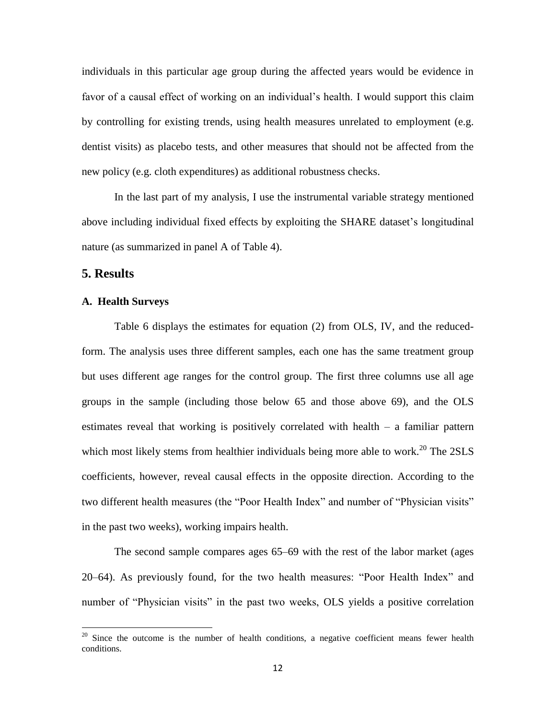individuals in this particular age group during the affected years would be evidence in favor of a causal effect of working on an individual's health. I would support this claim by controlling for existing trends, using health measures unrelated to employment (e.g. dentist visits) as placebo tests, and other measures that should not be affected from the new policy (e.g. cloth expenditures) as additional robustness checks.

In the last part of my analysis, I use the instrumental variable strategy mentioned above including individual fixed effects by exploiting the SHARE dataset's longitudinal nature (as summarized in panel A of Table 4).

## **5. Results**

 $\overline{\phantom{a}}$ 

## **A. Health Surveys**

Table 6 displays the estimates for equation (2) from OLS, IV, and the reducedform. The analysis uses three different samples, each one has the same treatment group but uses different age ranges for the control group. The first three columns use all age groups in the sample (including those below 65 and those above 69), and the OLS estimates reveal that working is positively correlated with health – a familiar pattern which most likely stems from healthier individuals being more able to work.<sup>20</sup> The  $2SLS$ coefficients, however, reveal causal effects in the opposite direction. According to the two different health measures (the "Poor Health Index" and number of "Physician visits" in the past two weeks), working impairs health.

The second sample compares ages 65–69 with the rest of the labor market (ages 20–64). As previously found, for the two health measures: "Poor Health Index" and number of "Physician visits" in the past two weeks, OLS yields a positive correlation

 $20$  Since the outcome is the number of health conditions, a negative coefficient means fewer health conditions.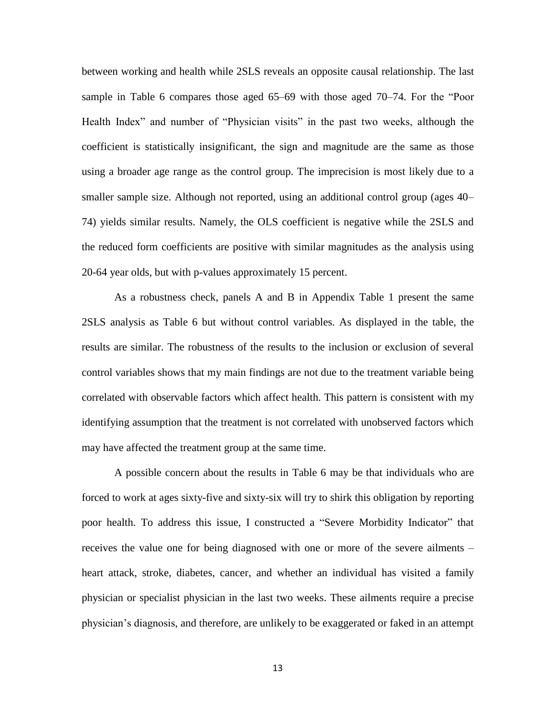between working and health while 2SLS reveals an opposite causal relationship. The last sample in Table 6 compares those aged 65–69 with those aged 70–74. For the "Poor Health Index" and number of "Physician visits" in the past two weeks, although the coefficient is statistically insignificant, the sign and magnitude are the same as those using a broader age range as the control group. The imprecision is most likely due to a smaller sample size. Although not reported, using an additional control group (ages 40– 74) yields similar results. Namely, the OLS coefficient is negative while the 2SLS and the reduced form coefficients are positive with similar magnitudes as the analysis using 20-64 year olds, but with p-values approximately 15 percent.

As a robustness check, panels A and B in Appendix Table 1 present the same 2SLS analysis as Table 6 but without control variables. As displayed in the table, the results are similar. The robustness of the results to the inclusion or exclusion of several control variables shows that my main findings are not due to the treatment variable being correlated with observable factors which affect health. This pattern is consistent with my identifying assumption that the treatment is not correlated with unobserved factors which may have affected the treatment group at the same time.

A possible concern about the results in Table 6 may be that individuals who are forced to work at ages sixty-five and sixty-six will try to shirk this obligation by reporting poor health. To address this issue, I constructed a "Severe Morbidity Indicator" that receives the value one for being diagnosed with one or more of the severe ailments – heart attack, stroke, diabetes, cancer, and whether an individual has visited a family physician or specialist physician in the last two weeks. These ailments require a precise physician's diagnosis, and therefore, are unlikely to be exaggerated or faked in an attempt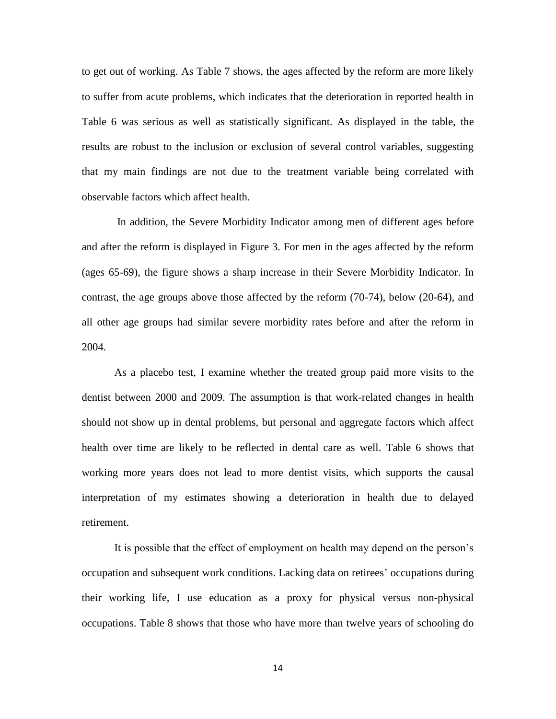to get out of working. As Table 7 shows, the ages affected by the reform are more likely to suffer from acute problems, which indicates that the deterioration in reported health in Table 6 was serious as well as statistically significant. As displayed in the table, the results are robust to the inclusion or exclusion of several control variables, suggesting that my main findings are not due to the treatment variable being correlated with observable factors which affect health.

In addition, the Severe Morbidity Indicator among men of different ages before and after the reform is displayed in Figure 3. For men in the ages affected by the reform (ages 65-69), the figure shows a sharp increase in their Severe Morbidity Indicator. In contrast, the age groups above those affected by the reform (70-74), below (20-64), and all other age groups had similar severe morbidity rates before and after the reform in 2004.

As a placebo test, I examine whether the treated group paid more visits to the dentist between 2000 and 2009. The assumption is that work-related changes in health should not show up in dental problems, but personal and aggregate factors which affect health over time are likely to be reflected in dental care as well. Table 6 shows that working more years does not lead to more dentist visits, which supports the causal interpretation of my estimates showing a deterioration in health due to delayed retirement.

It is possible that the effect of employment on health may depend on the person's occupation and subsequent work conditions. Lacking data on retirees' occupations during their working life, I use education as a proxy for physical versus non-physical occupations. Table 8 shows that those who have more than twelve years of schooling do

14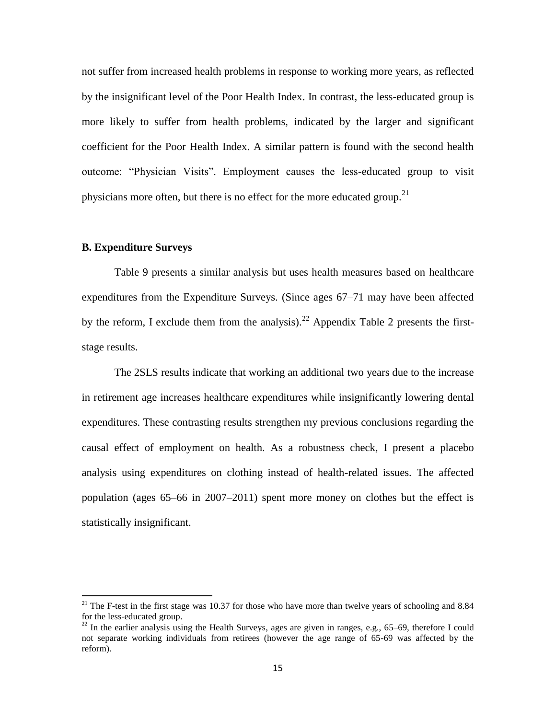not suffer from increased health problems in response to working more years, as reflected by the insignificant level of the Poor Health Index. In contrast, the less-educated group is more likely to suffer from health problems, indicated by the larger and significant coefficient for the Poor Health Index. A similar pattern is found with the second health outcome: "Physician Visits". Employment causes the less-educated group to visit physicians more often, but there is no effect for the more educated group.<sup>21</sup>

### **B. Expenditure Surveys**

 $\overline{a}$ 

Table 9 presents a similar analysis but uses health measures based on healthcare expenditures from the Expenditure Surveys. (Since ages 67–71 may have been affected by the reform, I exclude them from the analysis).<sup>22</sup> Appendix Table 2 presents the firststage results.

The 2SLS results indicate that working an additional two years due to the increase in retirement age increases healthcare expenditures while insignificantly lowering dental expenditures. These contrasting results strengthen my previous conclusions regarding the causal effect of employment on health. As a robustness check, I present a placebo analysis using expenditures on clothing instead of health-related issues. The affected population (ages 65–66 in 2007–2011) spent more money on clothes but the effect is statistically insignificant.

<sup>&</sup>lt;sup>21</sup> The F-test in the first stage was 10.37 for those who have more than twelve years of schooling and 8.84 for the less-educated group.

<sup>&</sup>lt;sup>22</sup> In the earlier analysis using the Health Surveys, ages are given in ranges, e.g., 65–69, therefore I could not separate working individuals from retirees (however the age range of 65-69 was affected by the reform).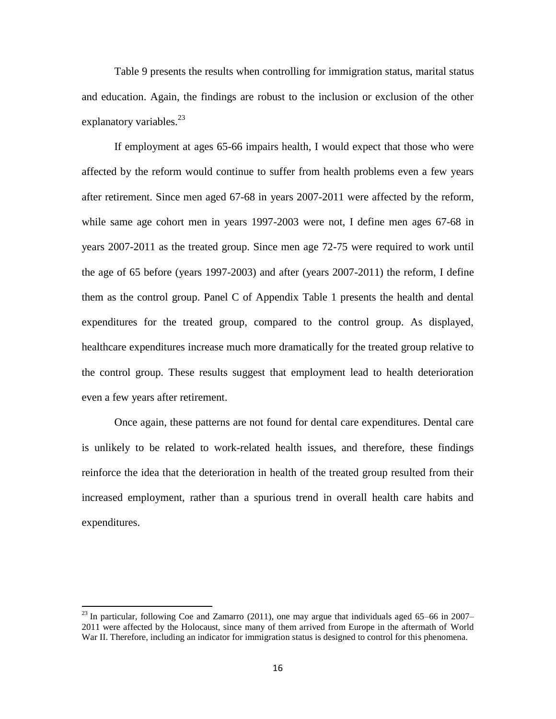Table 9 presents the results when controlling for immigration status, marital status and education. Again, the findings are robust to the inclusion or exclusion of the other explanatory variables. $^{23}$ 

If employment at ages 65-66 impairs health, I would expect that those who were affected by the reform would continue to suffer from health problems even a few years after retirement. Since men aged 67-68 in years 2007-2011 were affected by the reform, while same age cohort men in years 1997-2003 were not, I define men ages 67-68 in years 2007-2011 as the treated group. Since men age 72-75 were required to work until the age of 65 before (years 1997-2003) and after (years 2007-2011) the reform, I define them as the control group. Panel C of Appendix Table 1 presents the health and dental expenditures for the treated group, compared to the control group. As displayed, healthcare expenditures increase much more dramatically for the treated group relative to the control group. These results suggest that employment lead to health deterioration even a few years after retirement.

Once again, these patterns are not found for dental care expenditures. Dental care is unlikely to be related to work-related health issues, and therefore, these findings reinforce the idea that the deterioration in health of the treated group resulted from their increased employment, rather than a spurious trend in overall health care habits and expenditures.

 $^{23}$  In particular, following Coe and Zamarro (2011), one may argue that individuals aged 65–66 in 2007– 2011 were affected by the Holocaust, since many of them arrived from Europe in the aftermath of World War II. Therefore, including an indicator for immigration status is designed to control for this phenomena.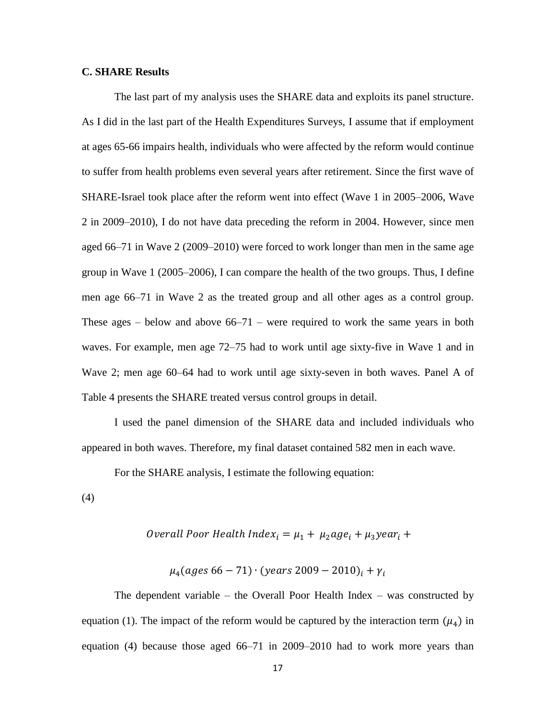## **C. SHARE Results**

The last part of my analysis uses the SHARE data and exploits its panel structure. As I did in the last part of the Health Expenditures Surveys, I assume that if employment at ages 65-66 impairs health, individuals who were affected by the reform would continue to suffer from health problems even several years after retirement. Since the first wave of SHARE-Israel took place after the reform went into effect (Wave 1 in 2005–2006, Wave 2 in 2009–2010), I do not have data preceding the reform in 2004. However, since men aged 66–71 in Wave 2 (2009–2010) were forced to work longer than men in the same age group in Wave 1 (2005–2006), I can compare the health of the two groups. Thus, I define men age 66–71 in Wave 2 as the treated group and all other ages as a control group. These ages – below and above  $66-71$  – were required to work the same years in both waves. For example, men age 72–75 had to work until age sixty-five in Wave 1 and in Wave 2; men age 60–64 had to work until age sixty-seven in both waves. Panel A of Table 4 presents the SHARE treated versus control groups in detail.

I used the panel dimension of the SHARE data and included individuals who appeared in both waves. Therefore, my final dataset contained 582 men in each wave.

For the SHARE analysis, I estimate the following equation:

(4)

*Overall Poor Health Index*<sub>i</sub> = 
$$
\mu_1 + \mu_2 age_i + \mu_3 year_i +
$$

 $\mu_4 (ages 66 - 71) \cdot (years 2009 - 2010)_i + \gamma_i$ 

The dependent variable – the Overall Poor Health Index – was constructed by equation (1). The impact of the reform would be captured by the interaction term  $(\mu_4)$  in equation (4) because those aged 66–71 in 2009–2010 had to work more years than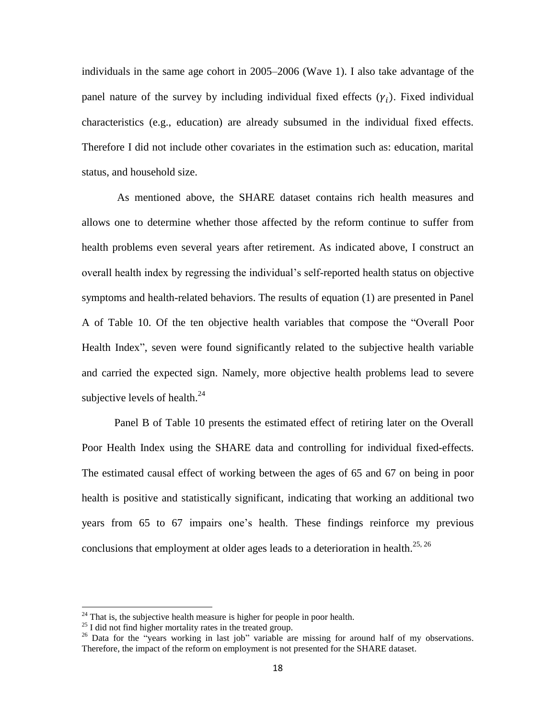individuals in the same age cohort in 2005–2006 (Wave 1). I also take advantage of the panel nature of the survey by including individual fixed effects  $(\gamma_i)$ . Fixed individual characteristics (e.g., education) are already subsumed in the individual fixed effects. Therefore I did not include other covariates in the estimation such as: education, marital status, and household size.

As mentioned above, the SHARE dataset contains rich health measures and allows one to determine whether those affected by the reform continue to suffer from health problems even several years after retirement. As indicated above, I construct an overall health index by regressing the individual's self-reported health status on objective symptoms and health-related behaviors. The results of equation (1) are presented in Panel A of Table 10. Of the ten objective health variables that compose the "Overall Poor Health Index", seven were found significantly related to the subjective health variable and carried the expected sign. Namely, more objective health problems lead to severe subjective levels of health. $^{24}$ 

Panel B of Table 10 presents the estimated effect of retiring later on the Overall Poor Health Index using the SHARE data and controlling for individual fixed-effects. The estimated causal effect of working between the ages of 65 and 67 on being in poor health is positive and statistically significant, indicating that working an additional two years from 65 to 67 impairs one's health. These findings reinforce my previous conclusions that employment at older ages leads to a deterioration in health.<sup>25, 26</sup>

 $^{24}$  That is, the subjective health measure is higher for people in poor health.

 $^{25}$  I did not find higher mortality rates in the treated group.

<sup>&</sup>lt;sup>26</sup> Data for the "years working in last job" variable are missing for around half of my observations. Therefore, the impact of the reform on employment is not presented for the SHARE dataset.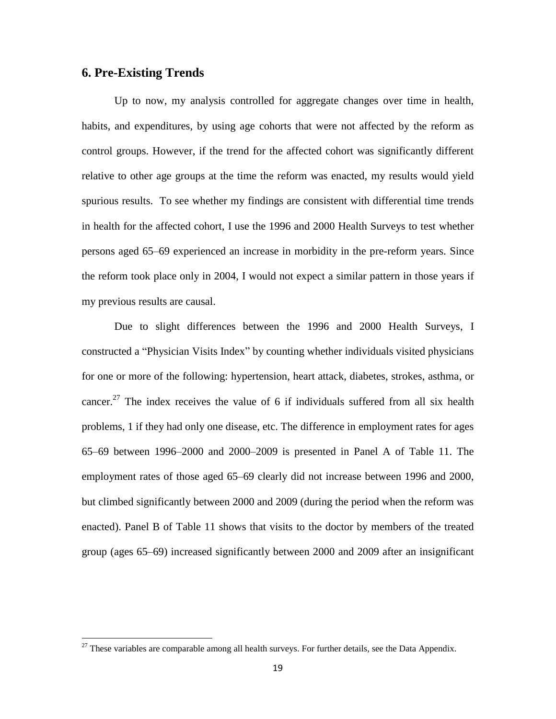## **6. Pre-Existing Trends**

 $\overline{\phantom{a}}$ 

Up to now, my analysis controlled for aggregate changes over time in health, habits, and expenditures, by using age cohorts that were not affected by the reform as control groups. However, if the trend for the affected cohort was significantly different relative to other age groups at the time the reform was enacted, my results would yield spurious results. To see whether my findings are consistent with differential time trends in health for the affected cohort, I use the 1996 and 2000 Health Surveys to test whether persons aged 65–69 experienced an increase in morbidity in the pre-reform years. Since the reform took place only in 2004, I would not expect a similar pattern in those years if my previous results are causal.

Due to slight differences between the 1996 and 2000 Health Surveys, I constructed a "Physician Visits Index" by counting whether individuals visited physicians for one or more of the following: hypertension, heart attack, diabetes, strokes, asthma, or cancer.<sup>27</sup> The index receives the value of 6 if individuals suffered from all six health problems, 1 if they had only one disease, etc. The difference in employment rates for ages 65–69 between 1996–2000 and 2000–2009 is presented in Panel A of Table 11. The employment rates of those aged 65–69 clearly did not increase between 1996 and 2000, but climbed significantly between 2000 and 2009 (during the period when the reform was enacted). Panel B of Table 11 shows that visits to the doctor by members of the treated group (ages 65–69) increased significantly between 2000 and 2009 after an insignificant

 $27$  These variables are comparable among all health surveys. For further details, see the Data Appendix.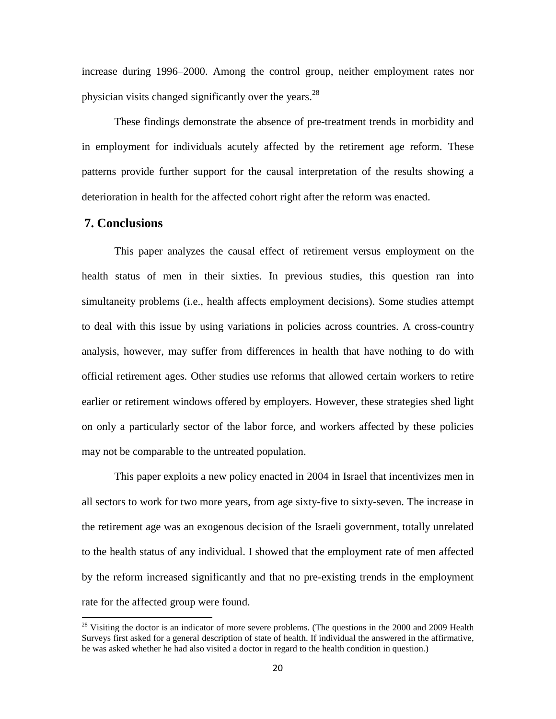increase during 1996–2000. Among the control group, neither employment rates nor physician visits changed significantly over the years.<sup>28</sup>

These findings demonstrate the absence of pre-treatment trends in morbidity and in employment for individuals acutely affected by the retirement age reform. These patterns provide further support for the causal interpretation of the results showing a deterioration in health for the affected cohort right after the reform was enacted.

## **7. Conclusions**

 $\overline{\phantom{a}}$ 

This paper analyzes the causal effect of retirement versus employment on the health status of men in their sixties. In previous studies, this question ran into simultaneity problems (i.e., health affects employment decisions). Some studies attempt to deal with this issue by using variations in policies across countries. A cross-country analysis, however, may suffer from differences in health that have nothing to do with official retirement ages. Other studies use reforms that allowed certain workers to retire earlier or retirement windows offered by employers. However, these strategies shed light on only a particularly sector of the labor force, and workers affected by these policies may not be comparable to the untreated population.

This paper exploits a new policy enacted in 2004 in Israel that incentivizes men in all sectors to work for two more years, from age sixty-five to sixty-seven. The increase in the retirement age was an exogenous decision of the Israeli government, totally unrelated to the health status of any individual. I showed that the employment rate of men affected by the reform increased significantly and that no pre-existing trends in the employment rate for the affected group were found.

 $28$  Visiting the doctor is an indicator of more severe problems. (The questions in the 2000 and 2009 Health Surveys first asked for a general description of state of health. If individual the answered in the affirmative, he was asked whether he had also visited a doctor in regard to the health condition in question.)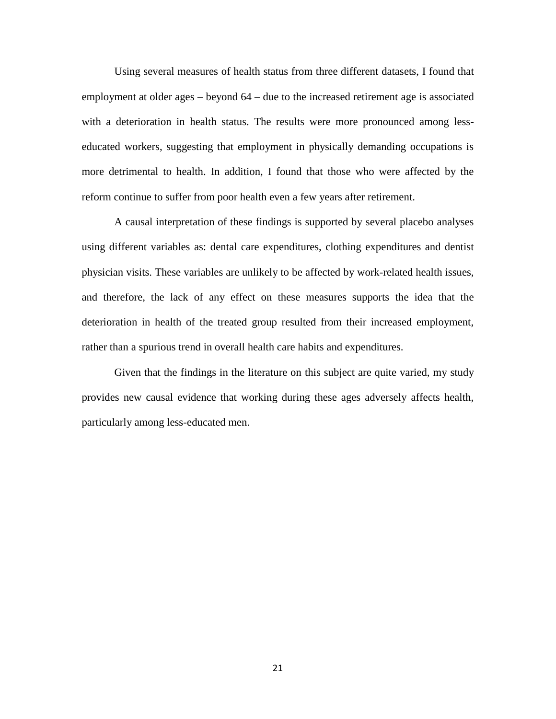Using several measures of health status from three different datasets, I found that employment at older ages – beyond 64 – due to the increased retirement age is associated with a deterioration in health status. The results were more pronounced among lesseducated workers, suggesting that employment in physically demanding occupations is more detrimental to health. In addition, I found that those who were affected by the reform continue to suffer from poor health even a few years after retirement.

A causal interpretation of these findings is supported by several placebo analyses using different variables as: dental care expenditures, clothing expenditures and dentist physician visits. These variables are unlikely to be affected by work-related health issues, and therefore, the lack of any effect on these measures supports the idea that the deterioration in health of the treated group resulted from their increased employment, rather than a spurious trend in overall health care habits and expenditures.

Given that the findings in the literature on this subject are quite varied, my study provides new causal evidence that working during these ages adversely affects health, particularly among less-educated men.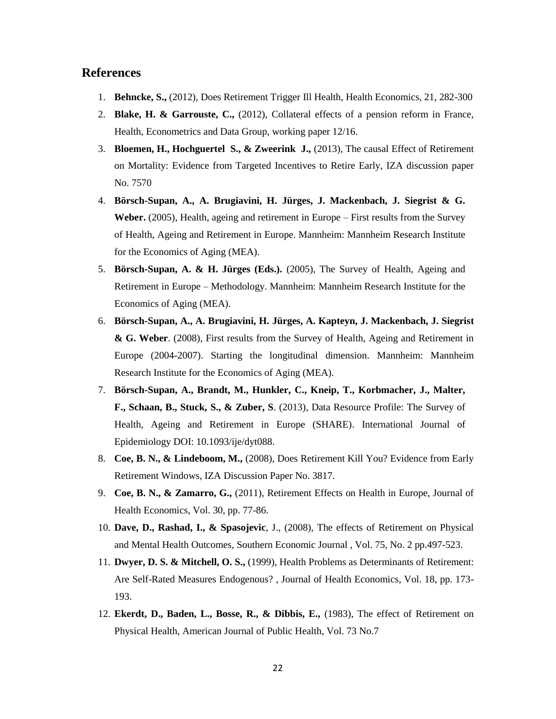## **References**

- 1. **Behncke, S.,** (2012), Does Retirement Trigger Ill Health, Health Economics, 21, 282-300
- 2. **Blake, H. & Garrouste, C.,** (2012), Collateral effects of a pension reform in France, Health, Econometrics and Data Group, working paper 12/16.
- 3. **Bloemen, H., Hochguertel S., & Zweerink J.,** (2013), The causal Effect of Retirement on Mortality: Evidence from Targeted Incentives to Retire Early, IZA discussion paper No. 7570
- 4. **Börsch-Supan, A., A. Brugiavini, H. Jürges, J. Mackenbach, J. Siegrist & G. Weber.** (2005), [Health, ageing and retirement in Europe –](http://www.share-project.org/uploads/tx_sharepublications/SHARE_FirstResultsBookWave1.pdf) First results from the Survey [of Health, Ageing and Retirement in Europe.](http://www.share-project.org/uploads/tx_sharepublications/SHARE_FirstResultsBookWave1.pdf) Mannheim: Mannheim Research Institute for the Economics of Aging (MEA).
- 5. **Börsch-Supan, A. & H. Jürges (Eds.).** (2005), [The Survey of Health, Ageing and](http://www.share-project.org/uploads/tx_sharepublications/SHARE_BOOK_METHODOLOGY_Wave1.pdf)  [Retirement in Europe –](http://www.share-project.org/uploads/tx_sharepublications/SHARE_BOOK_METHODOLOGY_Wave1.pdf) Methodology. Mannheim: Mannheim Research Institute for the Economics of Aging (MEA).
- 6. **Börsch-Supan, A., A. Brugiavini, H. Jürges, A. Kapteyn, J. Mackenbach, J. Siegrist & G. Weber**. (2008), [First results from the Survey of Health, Ageing and Retirement in](http://www.share-project.org/fileadmin/pdf_documentation/FRB2/FRB2_all_chapters.pdf)  [Europe \(2004-2007\). Starting the longitudinal dimension.](http://www.share-project.org/fileadmin/pdf_documentation/FRB2/FRB2_all_chapters.pdf) Mannheim: Mannheim Research Institute for the Economics of Aging (MEA).
- 7. **Börsch-Supan, A., Brandt, M., Hunkler, C., Kneip, T., Korbmacher, J., Malter, F., Schaan, B., Stuck, S., & Zuber, S**. (2013), [Data Resource Profile: The Survey of](http://ije.oxfordjournals.org/cgi/content/abstract/dyt088?ijkey=fW5IAlkIG8vZRzd&keytype=ref)  [Health, Ageing and Retirement in Europe \(SHARE\).](http://ije.oxfordjournals.org/cgi/content/abstract/dyt088?ijkey=fW5IAlkIG8vZRzd&keytype=ref) International Journal of Epidemiology DOI: 10.1093/ije/dyt088.
- 8. **Coe, B. N., & Lindeboom, M.,** (2008), Does Retirement Kill You? Evidence from Early Retirement Windows, IZA Discussion Paper No. 3817.
- 9. **Coe, B. N., & Zamarro, G.,** (2011), Retirement Effects on Health in Europe, Journal of Health Economics, Vol. 30, pp. 77-86.
- 10. **Dave, D., Rashad, I., & Spasojevic**, J., (2008), The effects of Retirement on Physical and Mental Health Outcomes, Southern Economic Journal , Vol. 75, No. 2 pp.497-523.
- 11. **Dwyer, D. S. & Mitchell, O. S.,** (1999), Health Problems as Determinants of Retirement: Are Self-Rated Measures Endogenous? , Journal of Health Economics, Vol. 18, pp. 173- 193.
- 12. **Ekerdt, D., Baden, L., Bosse, R., & Dibbis, E.,** (1983), The effect of Retirement on Physical Health, American Journal of Public Health, Vol. 73 No.7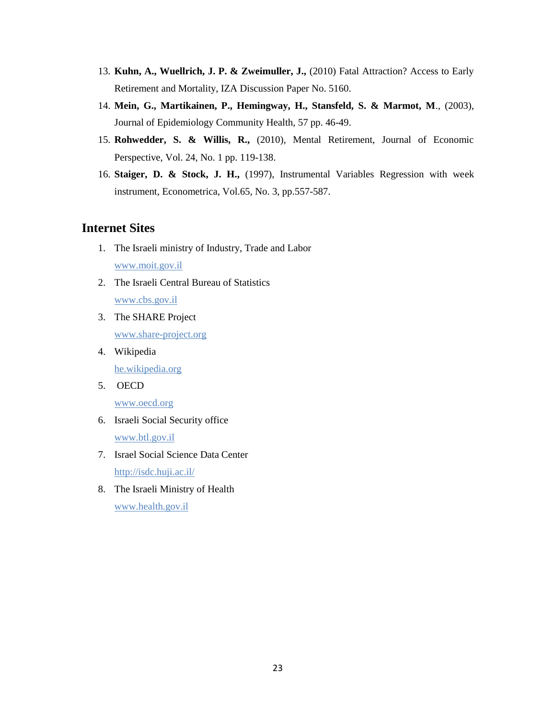- 13. **Kuhn, A., Wuellrich, J. P. & Zweimuller, J.,** (2010) Fatal Attraction? Access to Early Retirement and Mortality, IZA Discussion Paper No. 5160.
- 14. **Mein, G., Martikainen, P., Hemingway, H., Stansfeld, S. & Marmot, M**., (2003), Journal of Epidemiology Community Health, 57 pp. 46-49.
- 15. **Rohwedder, S. & Willis, R.,** (2010), Mental Retirement, Journal of Economic Perspective, Vol. 24, No. 1 pp. 119-138.
- 16. **Staiger, D. & Stock, J. H.,** (1997), Instrumental Variables Regression with week instrument, Econometrica, Vol.65, No. 3, pp.557-587.

## **Internet Sites**

- 1. The Israeli ministry of Industry, Trade and Labor [www.moit.gov.il](http://www.moit.gov.il/)
- 2. The Israeli Central Bureau of Statistics [www.cbs.gov.il](http://www.cbs.gov.il/)
- 3. The SHARE Project [www.share-project.org](http://www.share-project.org/)
- 4. Wikipedia he.wikipedia.org
- 5. OECD

www.oecd.org

- 6. Israeli Social Security office [www.btl.gov.il](http://www.btl.gov.il/)
- 7. Israel Social Science Data Center <http://isdc.huji.ac.il/>
- 8. The Israeli Ministry of Health www.health.gov.il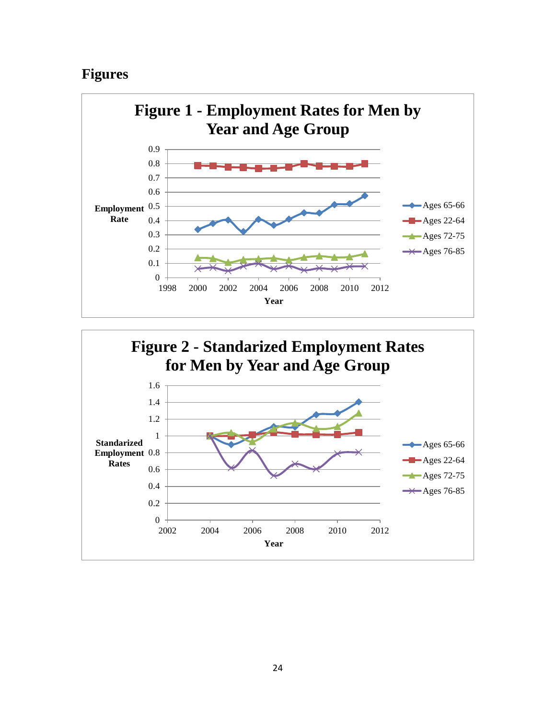## **Figures**



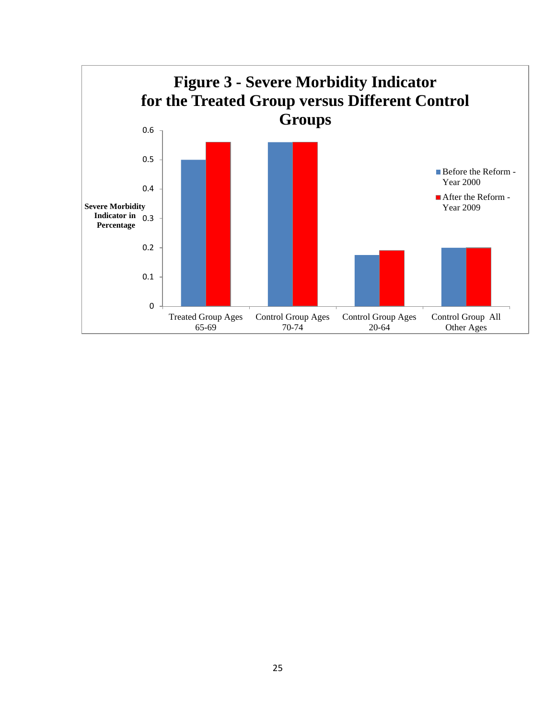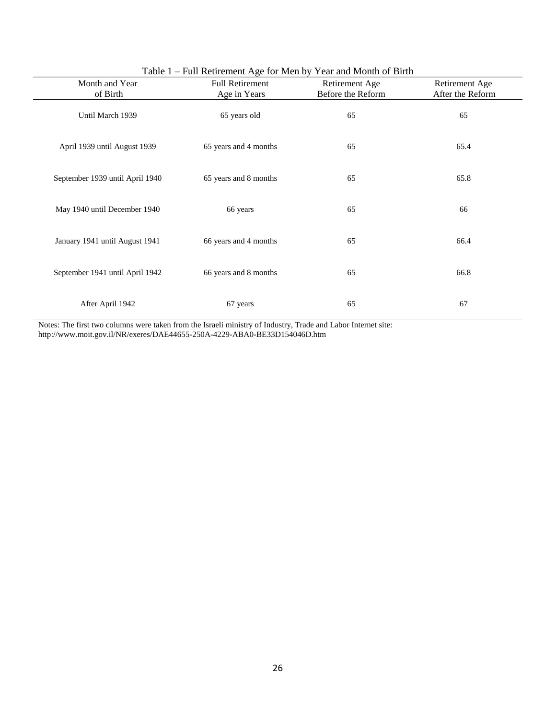|                                 | Table 1 – Full Retirement Age for Men by Year and Month of Birth |                                     |                                    |  |  |  |  |  |
|---------------------------------|------------------------------------------------------------------|-------------------------------------|------------------------------------|--|--|--|--|--|
| Month and Year                  | <b>Full Retirement</b>                                           | Retirement Age<br>Before the Reform | Retirement Age<br>After the Reform |  |  |  |  |  |
| of Birth                        | Age in Years                                                     |                                     |                                    |  |  |  |  |  |
| Until March 1939                | 65 years old                                                     | 65                                  | 65                                 |  |  |  |  |  |
| April 1939 until August 1939    | 65 years and 4 months                                            | 65                                  | 65.4                               |  |  |  |  |  |
| September 1939 until April 1940 | 65 years and 8 months                                            | 65                                  | 65.8                               |  |  |  |  |  |
| May 1940 until December 1940    | 66 years                                                         | 65                                  | 66                                 |  |  |  |  |  |
| January 1941 until August 1941  | 66 years and 4 months                                            | 65                                  | 66.4                               |  |  |  |  |  |
| September 1941 until April 1942 | 66 years and 8 months                                            | 65                                  | 66.8                               |  |  |  |  |  |
| After April 1942                | 67 years                                                         | 65                                  | 67                                 |  |  |  |  |  |

Notes: The first two columns were taken from the Israeli ministry of Industry, Trade and Labor Internet site: http://www.moit.gov.il/NR/exeres/DAE44655-250A-4229-ABA0-BE33D154046D.htm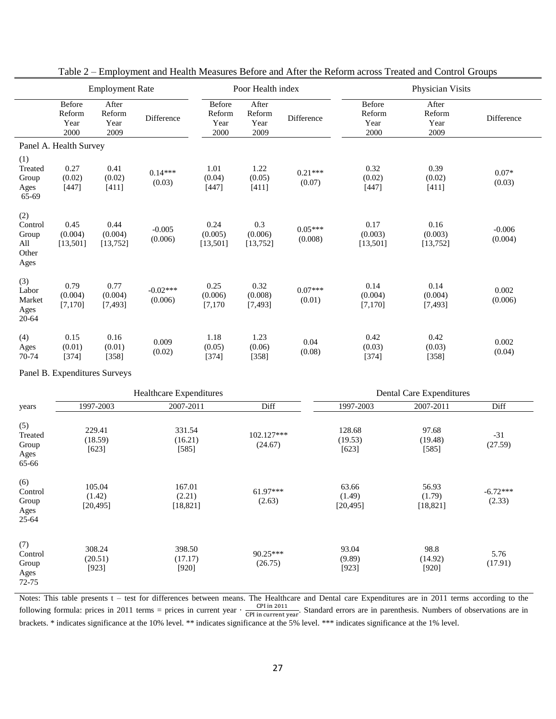|                                                 | <b>Employment Rate</b>           |                                 |                       | Poor Health index                |                                 |                      | Physician Visits                 |                                 |                     |
|-------------------------------------------------|----------------------------------|---------------------------------|-----------------------|----------------------------------|---------------------------------|----------------------|----------------------------------|---------------------------------|---------------------|
|                                                 | Before<br>Reform<br>Year<br>2000 | After<br>Reform<br>Year<br>2009 | Difference            | Before<br>Reform<br>Year<br>2000 | After<br>Reform<br>Year<br>2009 | Difference           | Before<br>Reform<br>Year<br>2000 | After<br>Reform<br>Year<br>2009 | Difference          |
|                                                 | Panel A. Health Survey           |                                 |                       |                                  |                                 |                      |                                  |                                 |                     |
| (1)<br>Treated<br>Group<br>Ages<br>65-69        | 0.27<br>(0.02)<br>$[447]$        | 0.41<br>(0.02)<br>[411]         | $0.14***$<br>(0.03)   | 1.01<br>(0.04)<br>$[447]$        | 1.22<br>(0.05)<br>[411]         | $0.21***$<br>(0.07)  | 0.32<br>(0.02)<br>[447]          | 0.39<br>(0.02)<br>[411]         | $0.07*$<br>(0.03)   |
| (2)<br>Control<br>Group<br>All<br>Other<br>Ages | 0.45<br>(0.004)<br>[13, 501]     | 0.44<br>(0.004)<br>[13, 752]    | $-0.005$<br>(0.006)   | 0.24<br>(0.005)<br>[13, 501]     | 0.3<br>(0.006)<br>[13, 752]     | $0.05***$<br>(0.008) | 0.17<br>(0.003)<br>[13,501]      | 0.16<br>(0.003)<br>[13, 752]    | $-0.006$<br>(0.004) |
| (3)<br>Labor<br>Market<br>Ages<br>20-64         | 0.79<br>(0.004)<br>[7, 170]      | 0.77<br>(0.004)<br>[7, 493]     | $-0.02***$<br>(0.006) | 0.25<br>(0.006)<br>[7, 170]      | 0.32<br>(0.008)<br>[7,493]      | $0.07***$<br>(0.01)  | 0.14<br>(0.004)<br>[7, 170]      | 0.14<br>(0.004)<br>[7,493]      | 0.002<br>(0.006)    |
| (4)<br>Ages<br>70-74                            | 0.15<br>(0.01)<br>[374]          | 0.16<br>(0.01)<br>$[358]$       | 0.009<br>(0.02)       | 1.18<br>(0.05)<br>[374]          | 1.23<br>(0.06)<br>$[358]$       | 0.04<br>(0.08)       | 0.42<br>(0.03)<br>[374]          | 0.42<br>(0.03)<br>[358]         | 0.002<br>(0.04)     |

Table 2 – Employment and Health Measures Before and After the Reform across Treated and Control Groups

Panel B. Expenditures Surveys

|                                              |                               | <b>Healthcare Expenditures</b> |                       | <b>Dental Care Expenditures</b> |                              |                      |  |
|----------------------------------------------|-------------------------------|--------------------------------|-----------------------|---------------------------------|------------------------------|----------------------|--|
| years                                        | 1997-2003                     | 2007-2011                      | Diff                  | 1997-2003                       | 2007-2011                    | Diff                 |  |
| (5)<br>Treated<br>Group<br>Ages<br>65-66     | 229.41<br>(18.59)<br>$[623]$  | 331.54<br>(16.21)<br>[585]     | 102.127***<br>(24.67) | 128.68<br>(19.53)<br>[623]      | 97.68<br>(19.48)<br>[585]    | $-31$<br>(27.59)     |  |
| (6)<br>Control<br>Group<br>Ages<br>$25 - 64$ | 105.04<br>(1.42)<br>[20, 495] | 167.01<br>(2.21)<br>[18, 821]  | $61.97***$<br>(2.63)  | 63.66<br>(1.49)<br>[20, 495]    | 56.93<br>(1.79)<br>[18, 821] | $-6.72***$<br>(2.33) |  |
| (7)<br>Control<br>Group<br>Ages<br>72-75     | 308.24<br>(20.51)<br>[923]    | 398.50<br>(17.17)<br>$[920]$   | 90.25***<br>(26.75)   | 93.04<br>(9.89)<br>[923]        | 98.8<br>(14.92)<br>[920]     | 5.76<br>(17.91)      |  |

Notes: This table presents t – test for differences between means. The Healthcare and Dental care Expenditures are in 2011 terms according to the following formula: prices in 2011 terms = prices in current year  $\cdot \frac{C}{CD}$  $\frac{CFT in 2011}{CPI in current year}$ . Standard errors are in parenthesis. Numbers of observations are in brackets. \* indicates significance at the 10% level. \*\* indicates significance at the 5% level. \*\*\* indicates significance at the 1% level.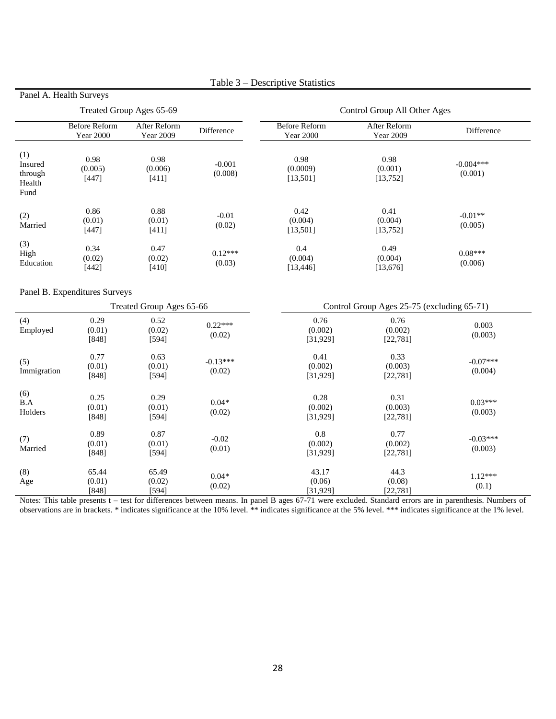| Treated Group Ages 65-69                    |                                   |                                  | Control Group All Other Ages |                                          |                                            |                        |  |
|---------------------------------------------|-----------------------------------|----------------------------------|------------------------------|------------------------------------------|--------------------------------------------|------------------------|--|
|                                             | Before Reform<br><b>Year 2000</b> | After Reform<br><b>Year 2009</b> | Difference                   | <b>Before Reform</b><br><b>Year 2000</b> | After Reform<br><b>Year 2009</b>           | Difference             |  |
| (1)<br>Insured<br>through<br>Health<br>Fund | 0.98<br>(0.005)<br>[447]          | 0.98<br>(0.006)<br>[411]         | $-0.001$<br>(0.008)          | 0.98<br>(0.0009)<br>[13, 501]            | 0.98<br>(0.001)<br>[13, 752]               | $-0.004***$<br>(0.001) |  |
| (2)<br>Married                              | 0.86<br>(0.01)<br>[447]           | 0.88<br>(0.01)<br>[411]          | $-0.01$<br>(0.02)            | 0.42<br>(0.004)<br>[13, 501]             | 0.41<br>(0.004)<br>[13, 752]               | $-0.01**$<br>(0.005)   |  |
| (3)<br>High<br>Education                    | 0.34<br>(0.02)<br>[442]           | 0.47<br>(0.02)<br>[410]          | $0.12***$<br>(0.03)          | 0.4<br>(0.004)<br>[13, 446]              | 0.49<br>(0.004)<br>[13,676]                | $0.08***$<br>(0.006)   |  |
|                                             | Panel B. Expenditures Surveys     | Treated Group Ages 65-66         |                              |                                          | Control Group Ages 25-75 (excluding 65-71) |                        |  |
| (4)<br>Employed                             | 0.29<br>(0.01)<br>[848]           | 0.52<br>(0.02)<br>[594]          | $0.22***$<br>(0.02)          | 0.76<br>(0.002)<br>[31, 929]             | 0.76<br>(0.002)<br>[22, 781]               | 0.003<br>(0.003)       |  |
| (5)<br>Immigration                          | 0.77<br>(0.01)<br>[848]           | 0.63<br>(0.01)<br>[594]          | $-0.13***$<br>(0.02)         | 0.41<br>(0.002)<br>[31, 929]             | 0.33<br>(0.003)<br>[22, 781]               | $-0.07***$<br>(0.004)  |  |
| (6)<br>B.A<br>Holders                       | 0.25<br>(0.01)<br>[848]           | 0.29<br>(0.01)<br>[594]          | $0.04*$<br>(0.02)            | 0.28<br>(0.002)<br>[31, 929]             | 0.31<br>(0.003)<br>[22, 781]               | $0.03***$<br>(0.003)   |  |
| (7)<br>Married                              | 0.89<br>(0.01)<br>$[848]$         | 0.87<br>(0.01)<br>[594]          | $-0.02$<br>(0.01)            | 0.8<br>(0.002)<br>[31, 929]              | 0.77<br>(0.002)<br>[22, 781]               | $-0.03***$<br>(0.003)  |  |
| (8)<br>Age                                  | 65.44<br>(0.01)<br>$[848]$        | 65.49<br>(0.02)<br>[594]         | $0.04*$<br>(0.02)            | 43.17<br>(0.06)<br>[31, 929]             | 44.3<br>(0.08)<br>[22, 781]                | $1.12***$<br>(0.1)     |  |

## Table 3 – Descriptive Statistics

Panel A. Health Surveys

Notes: This table presents t – test for differences between means. In panel B ages 67-71 were excluded. Standard errors are in parenthesis. Numbers of observations are in brackets. \* indicates significance at the 10% level. \*\* indicates significance at the 5% level. \*\*\* indicates significance at the 1% level.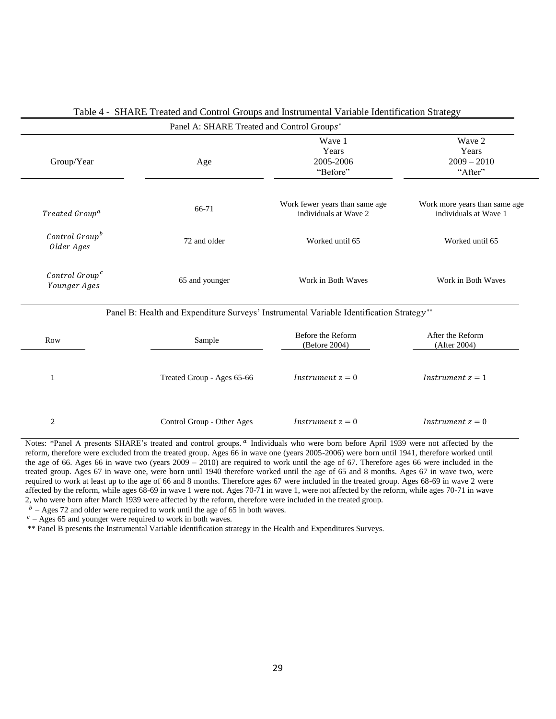|                                            | Panel A: SHARE Treated and Control Groups* |                                                                                          |                                                        |
|--------------------------------------------|--------------------------------------------|------------------------------------------------------------------------------------------|--------------------------------------------------------|
| Group/Year                                 | Age                                        | Wave 1<br>Years<br>2005-2006<br>"Before"                                                 | Wave 2<br>Years<br>$2009 - 2010$<br>"After"            |
| Treated Group <sup>a</sup>                 | 66-71                                      | Work fewer years than same age<br>individuals at Wave 2                                  | Work more years than same age<br>individuals at Wave 1 |
| Control Group <sup>b</sup><br>Older Ages   | 72 and older                               | Worked until 65                                                                          | Worked until 65                                        |
| Control Group <sup>c</sup><br>Younger Ages | 65 and younger                             | Work in Both Waves                                                                       | Work in Both Waves                                     |
|                                            |                                            | Panel B: Health and Expenditure Surveys' Instrumental Variable Identification Strategy** |                                                        |
| Row                                        | Sample                                     | Before the Reform<br>(Before 2004)                                                       | After the Reform<br>(After 2004)                       |
| 1                                          | Treated Group - Ages 65-66                 | <i>Instrument</i> $z = 0$                                                                | <i>Instrument</i> $z = 1$                              |
| 2                                          | Control Group - Other Ages                 | <i>Instrument</i> $z = 0$                                                                | <i>Instrument</i> $z = 0$                              |

#### Table 4 - SHARE Treated and Control Groups and Instrumental Variable Identification Strategy

Notes: \*Panel A presents SHARE's treated and control groups. <sup>a</sup> Individuals who were born before April 1939 were not affected by the reform, therefore were excluded from the treated group. Ages 66 in wave one (years 2005-2006) were born until 1941, therefore worked until the age of 66. Ages 66 in wave two (years  $2009 - 2010$ ) are required to work until the age of 67. Therefore ages 66 were included in the treated group. Ages 67 in wave one, were born until 1940 therefore worked until the age of 65 and 8 months. Ages 67 in wave two, were required to work at least up to the age of 66 and 8 months. Therefore ages 67 were included in the treated group. Ages 68-69 in wave 2 were affected by the reform, while ages  $68-69$  in wave 1 were not. Ages 70-71 in wave 1, were not affected by the reform, while ages 70-71 in wave 2, who were born after March 1939 were affected by the reform, therefore were included in the treated group.

 $<sup>b</sup>$  – Ages 72 and older were required to work until the age of 65 in both waves.</sup>

 $c$  – Ages 65 and younger were required to work in both waves.

\*\* Panel B presents the Instrumental Variable identification strategy in the Health and Expenditures Surveys.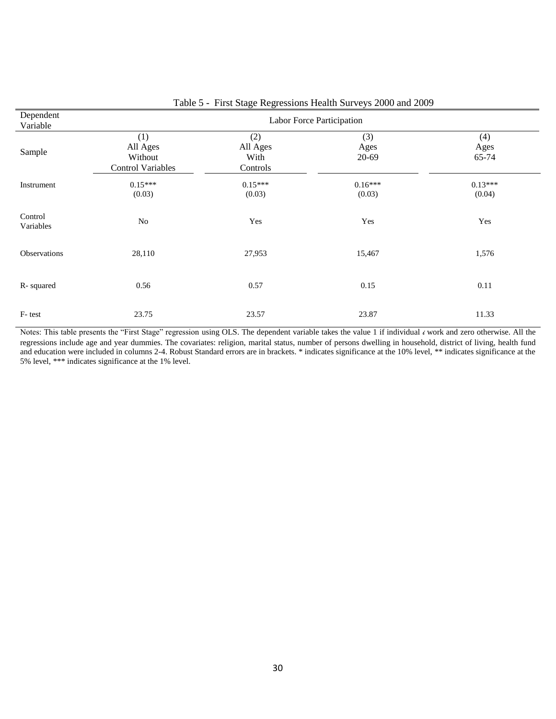| Dependent<br>Variable | Labor Force Participation                              |                                     |                      |                      |  |  |  |  |
|-----------------------|--------------------------------------------------------|-------------------------------------|----------------------|----------------------|--|--|--|--|
| Sample                | (1)<br>All Ages<br>Without<br><b>Control Variables</b> | (2)<br>All Ages<br>With<br>Controls | (3)<br>Ages<br>20-69 | (4)<br>Ages<br>65-74 |  |  |  |  |
| Instrument            | $0.15***$<br>(0.03)                                    | $0.15***$<br>(0.03)                 | $0.16***$<br>(0.03)  | $0.13***$<br>(0.04)  |  |  |  |  |
| Control<br>Variables  | No                                                     | Yes                                 | Yes                  | Yes                  |  |  |  |  |
| Observations          | 28,110                                                 | 27,953                              | 15,467               | 1,576                |  |  |  |  |
| R-squared             | 0.56                                                   | 0.57                                | 0.15                 | 0.11                 |  |  |  |  |
| F-test                | 23.75                                                  | 23.57                               | 23.87                | 11.33                |  |  |  |  |

Table 5 - First Stage Regressions Health Surveys 2000 and 2009

Notes: This table presents the "First Stage" regression using OLS. The dependent variable takes the value 1 if individual *i* work and zero otherwise. All the regressions include age and year dummies. The covariates: religion, marital status, number of persons dwelling in household, district of living, health fund and education were included in columns 2-4. Robust Standard errors are in brackets. \* indicates significance at the 10% level, \*\* indicates significance at the 5% level, \*\*\* indicates significance at the 1% level.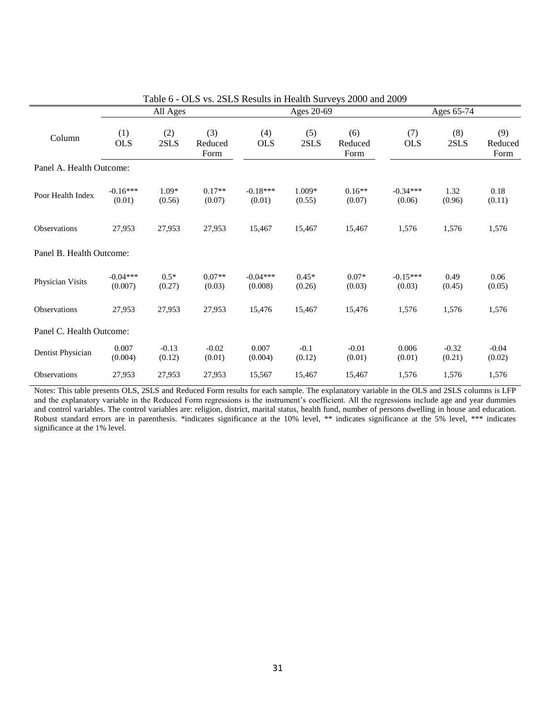|                          |                       |                   |                        |                       |                   | Table 6 - OLS vs. 2SLS Results in Health Surveys 2000 and 2009 |                      |                   |                        |
|--------------------------|-----------------------|-------------------|------------------------|-----------------------|-------------------|----------------------------------------------------------------|----------------------|-------------------|------------------------|
|                          | All Ages              |                   |                        | Ages 20-69            |                   |                                                                | Ages 65-74           |                   |                        |
| Column                   | (1)<br><b>OLS</b>     | (2)<br>2SLS       | (3)<br>Reduced<br>Form | (4)<br><b>OLS</b>     | (5)<br>2SLS       | (6)<br>Reduced<br>Form                                         | (7)<br><b>OLS</b>    | (8)<br>2SLS       | (9)<br>Reduced<br>Form |
| Panel A. Health Outcome: |                       |                   |                        |                       |                   |                                                                |                      |                   |                        |
| Poor Health Index        | $-0.16***$<br>(0.01)  | $1.09*$<br>(0.56) | $0.17**$<br>(0.07)     | $-0.18***$<br>(0.01)  | 1.009*<br>(0.55)  | $0.16**$<br>(0.07)                                             | $-0.34***$<br>(0.06) | 1.32<br>(0.96)    | 0.18<br>(0.11)         |
| Observations             | 27,953                | 27,953            | 27,953                 | 15,467                | 15,467            | 15,467                                                         | 1,576                | 1,576             | 1,576                  |
| Panel B. Health Outcome: |                       |                   |                        |                       |                   |                                                                |                      |                   |                        |
| Physician Visits         | $-0.04***$<br>(0.007) | $0.5*$<br>(0.27)  | $0.07**$<br>(0.03)     | $-0.04***$<br>(0.008) | $0.45*$<br>(0.26) | $0.07*$<br>(0.03)                                              | $-0.15***$<br>(0.03) | 0.49<br>(0.45)    | 0.06<br>(0.05)         |
| Observations             | 27,953                | 27,953            | 27,953                 | 15,476                | 15,467            | 15,476                                                         | 1,576                | 1,576             | 1,576                  |
| Panel C. Health Outcome: |                       |                   |                        |                       |                   |                                                                |                      |                   |                        |
| Dentist Physician        | 0.007<br>(0.004)      | $-0.13$<br>(0.12) | $-0.02$<br>(0.01)      | 0.007<br>(0.004)      | $-0.1$<br>(0.12)  | $-0.01$<br>(0.01)                                              | 0.006<br>(0.01)      | $-0.32$<br>(0.21) | $-0.04$<br>(0.02)      |
| Observations             | 27,953                | 27,953            | 27,953                 | 15,567                | 15,467            | 15,467                                                         | 1,576                | 1,576             | 1,576                  |

Notes: This table presents OLS, 2SLS and Reduced Form results for each sample. The explanatory variable in the OLS and 2SLS columns is LFP and the explanatory variable in the Reduced Form regressions is the instrument's coefficient. All the regressions include age and year dummies and control variables. The control variables are: religion, district, marital status, health fund, number of persons dwelling in house and education. Robust standard errors are in parenthesis. \*indicates significance at the 10% level, \*\* indicates significance at the 5% level, \*\*\* indicates significance at the 1% level.

31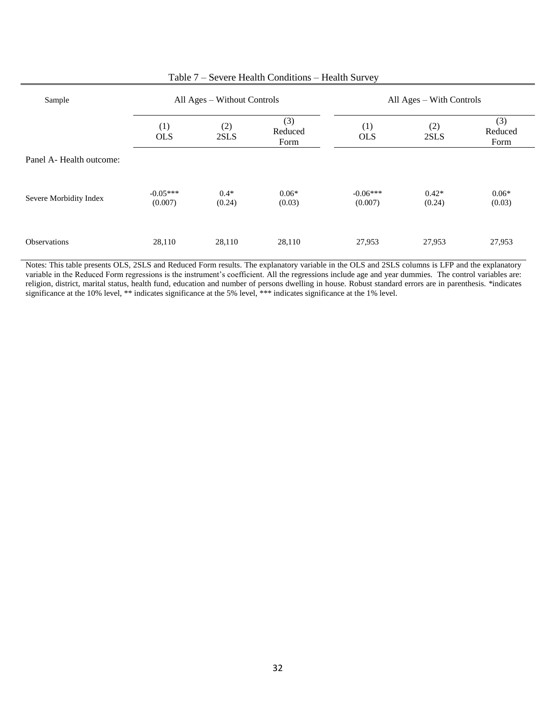| Sample                   | All Ages – Without Controls |                  |                        |                       | All Ages – With Controls |                        |  |
|--------------------------|-----------------------------|------------------|------------------------|-----------------------|--------------------------|------------------------|--|
|                          | (1)<br><b>OLS</b>           | (2)<br>2SLS      | (3)<br>Reduced<br>Form | (1)<br><b>OLS</b>     | (2)<br>2SLS              | (3)<br>Reduced<br>Form |  |
| Panel A- Health outcome: |                             |                  |                        |                       |                          |                        |  |
| Severe Morbidity Index   | $-0.05***$<br>(0.007)       | $0.4*$<br>(0.24) | $0.06*$<br>(0.03)      | $-0.06***$<br>(0.007) | $0.42*$<br>(0.24)        | $0.06*$<br>(0.03)      |  |
| <b>Observations</b>      | 28,110                      | 28,110           | 28,110                 | 27,953                | 27,953                   | 27,953                 |  |

## Table 7 – Severe Health Conditions – Health Survey

Notes: This table presents OLS, 2SLS and Reduced Form results. The explanatory variable in the OLS and 2SLS columns is LFP and the explanatory variable in the Reduced Form regressions is the instrument's coefficient. All the regressions include age and year dummies. The control variables are: religion, district, marital status, health fund, education and number of persons dwelling in house. Robust standard errors are in parenthesis. \*indicates significance at the 10% level, \*\* indicates significance at the 5% level, \*\*\* indicates significance at the 1% level.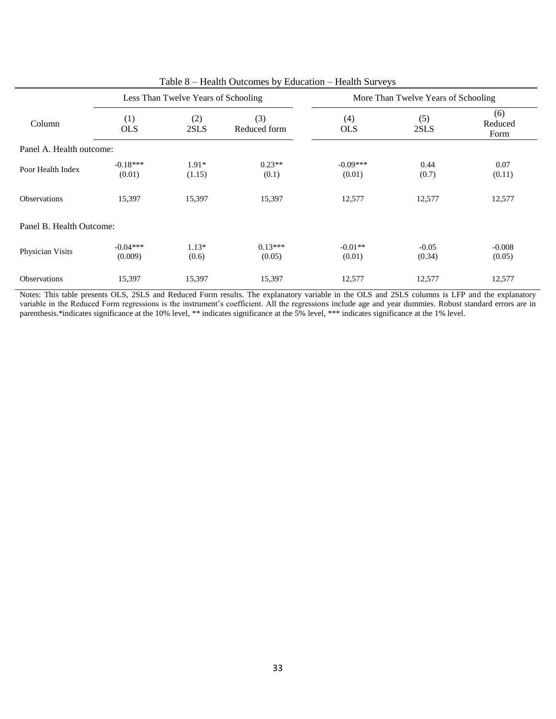|                          |                       | Less Than Twelve Years of Schooling |                     | More Than Twelve Years of Schooling |                   |                        |
|--------------------------|-----------------------|-------------------------------------|---------------------|-------------------------------------|-------------------|------------------------|
| Column                   | (1)<br><b>OLS</b>     | (2)<br>2SLS                         | (3)<br>Reduced form | (4)<br><b>OLS</b>                   | (5)<br>2SLS       | (6)<br>Reduced<br>Form |
| Panel A. Health outcome: |                       |                                     |                     |                                     |                   |                        |
| Poor Health Index        | $-0.18***$<br>(0.01)  | $1.91*$<br>(1.15)                   | $0.23**$<br>(0.1)   | $-0.09***$<br>(0.01)                | 0.44<br>(0.7)     | 0.07<br>(0.11)         |
| <b>Observations</b>      | 15,397                | 15,397                              | 15,397              | 12,577                              | 12,577            | 12,577                 |
| Panel B. Health Outcome: |                       |                                     |                     |                                     |                   |                        |
| Physician Visits         | $-0.04***$<br>(0.009) | $1.13*$<br>(0.6)                    | $0.13***$<br>(0.05) | $-0.01**$<br>(0.01)                 | $-0.05$<br>(0.34) | $-0.008$<br>(0.05)     |
| <b>Observations</b>      | 15,397                | 15,397                              | 15,397              | 12,577                              | 12,577            | 12,577                 |

Table 8 – Health Outcomes by Education – Health Surveys

Notes: This table presents OLS, 2SLS and Reduced Form results. The explanatory variable in the OLS and 2SLS columns is LFP and the explanatory variable in the Reduced Form regressions is the instrument's coefficient. All the regressions include age and year dummies. Robust standard errors are in parenthesis.\*indicates significance at the 10% level, \*\* indicates significance at the 5% level, \*\*\* indicates significance at the 1% level.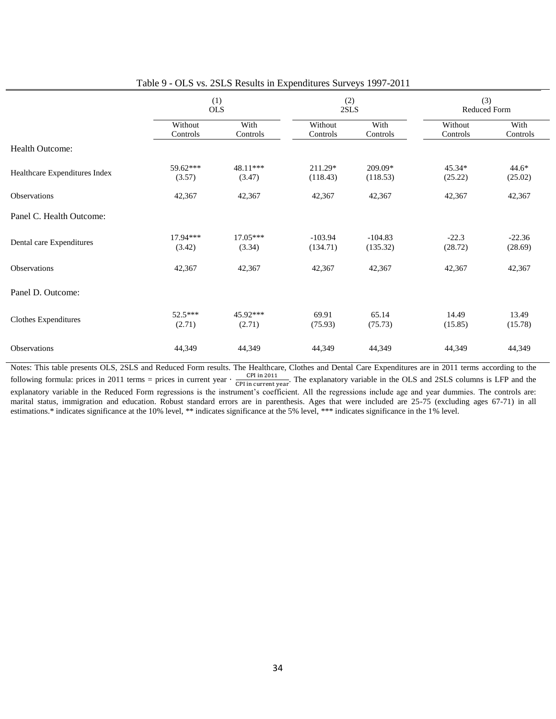|                               | (1)<br><b>OLS</b>   |                      |                       | (2)<br>2SLS           |                     | (3)<br>Reduced Form |  |
|-------------------------------|---------------------|----------------------|-----------------------|-----------------------|---------------------|---------------------|--|
|                               | Without<br>Controls | With<br>Controls     | Without<br>Controls   | With<br>Controls      | Without<br>Controls | With<br>Controls    |  |
| Health Outcome:               |                     |                      |                       |                       |                     |                     |  |
| Healthcare Expenditures Index | 59.62***<br>(3.57)  | 48.11***<br>(3.47)   | 211.29*<br>(118.43)   | 209.09*<br>(118.53)   | 45.34*<br>(25.22)   | $44.6*$<br>(25.02)  |  |
| <b>Observations</b>           | 42,367              | 42,367               | 42,367                | 42,367                | 42,367              | 42,367              |  |
| Panel C. Health Outcome:      |                     |                      |                       |                       |                     |                     |  |
| Dental care Expenditures      | 17.94***<br>(3.42)  | $17.05***$<br>(3.34) | $-103.94$<br>(134.71) | $-104.83$<br>(135.32) | $-22.3$<br>(28.72)  | $-22.36$<br>(28.69) |  |
| Observations                  | 42,367              | 42,367               | 42,367                | 42,367                | 42,367              | 42,367              |  |
| Panel D. Outcome:             |                     |                      |                       |                       |                     |                     |  |
| <b>Clothes Expenditures</b>   | $52.5***$<br>(2.71) | 45.92***<br>(2.71)   | 69.91<br>(75.93)      | 65.14<br>(75.73)      | 14.49<br>(15.85)    | 13.49<br>(15.78)    |  |
| <b>Observations</b>           | 44,349              | 44,349               | 44,349                | 44,349                | 44,349              | 44,349              |  |

| Table 9 - OLS vs. 2SLS Results in Expenditures Surveys 1997-2011 |
|------------------------------------------------------------------|
|------------------------------------------------------------------|

Notes: This table presents OLS, 2SLS and Reduced Form results. The Healthcare, Clothes and Dental Care Expenditures are in 2011 terms according to the following formula: prices in 2011 terms = prices in current year  $\cdot \frac{C}{CD}$  $\frac{CFT_{1}}{CPI_{1}}$  in current year. The explanatory variable in the OLS and 2SLS columns is LFP and the

explanatory variable in the Reduced Form regressions is the instrument's coefficient. All the regressions include age and year dummies. The controls are: marital status, immigration and education. Robust standard errors are in parenthesis. Ages that were included are 25-75 (excluding ages 67-71) in all estimations.\* indicates significance at the 10% level, \*\* indicates significance at the 5% level, \*\*\* indicates significance in the 1% level.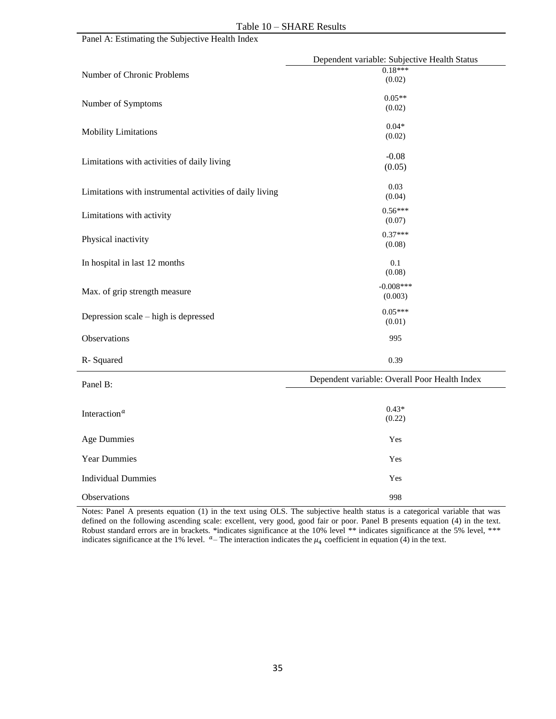|  | Panel A: Estimating the Subjective Health Index |
|--|-------------------------------------------------|
|--|-------------------------------------------------|

|                                                          | Dependent variable: Subjective Health Status  |
|----------------------------------------------------------|-----------------------------------------------|
| Number of Chronic Problems                               | $0.18***$<br>(0.02)                           |
|                                                          |                                               |
| Number of Symptoms                                       | $0.05**$<br>(0.02)                            |
|                                                          |                                               |
| <b>Mobility Limitations</b>                              | $0.04*$                                       |
|                                                          | (0.02)                                        |
| Limitations with activities of daily living              | $-0.08$                                       |
|                                                          | (0.05)                                        |
|                                                          | 0.03                                          |
| Limitations with instrumental activities of daily living | (0.04)                                        |
| Limitations with activity                                | $0.56***$                                     |
|                                                          | (0.07)                                        |
| Physical inactivity                                      | $0.37***$<br>(0.08)                           |
|                                                          |                                               |
| In hospital in last 12 months                            | 0.1<br>(0.08)                                 |
|                                                          | $-0.008***$                                   |
| Max. of grip strength measure                            | (0.003)                                       |
|                                                          | $0.05***$                                     |
| Depression scale – high is depressed                     | (0.01)                                        |
| Observations                                             | 995                                           |
|                                                          |                                               |
| R-Squared                                                | 0.39                                          |
| Panel B:                                                 | Dependent variable: Overall Poor Health Index |
|                                                          |                                               |
| Interaction <sup>a</sup>                                 | $0.43*$                                       |
|                                                          | (0.22)                                        |
| <b>Age Dummies</b>                                       | Yes                                           |
|                                                          |                                               |
| <b>Year Dummies</b>                                      | Yes                                           |
| <b>Individual Dummies</b>                                | Yes                                           |
| Observations                                             | 998                                           |

Notes: Panel A presents equation (1) in the text using OLS. The subjective health status is a categorical variable that was defined on the following ascending scale: excellent, very good, good fair or poor. Panel B presents equation (4) in the text. Robust standard errors are in brackets. \*indicates significance at the 10% level \*\* indicates significance at the 5% level, \*\*\* indicates significance at the 1% level.  $a$ -The interaction indicates the  $\mu_4$  coefficient in equation (4) in the text.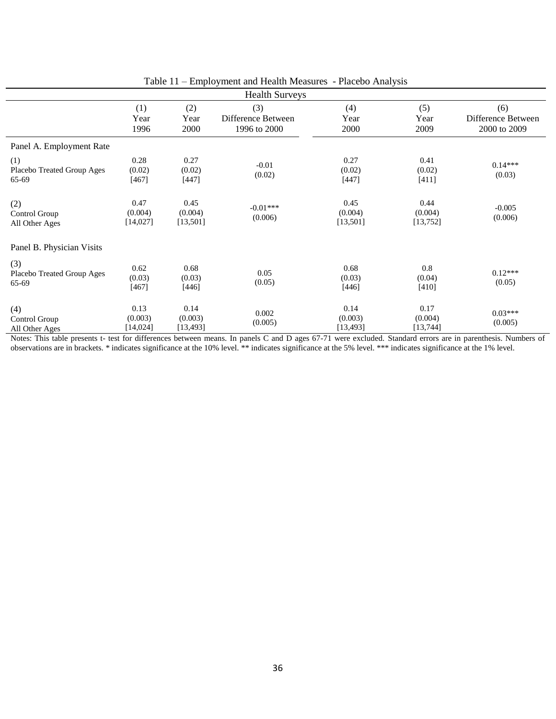|                                            |                             |                              | $\mathbf{u}$<br>and ricature included co  |                              |                              |                                           |
|--------------------------------------------|-----------------------------|------------------------------|-------------------------------------------|------------------------------|------------------------------|-------------------------------------------|
| <b>Health Surveys</b>                      |                             |                              |                                           |                              |                              |                                           |
|                                            | (1)<br>Year<br>1996         | (2)<br>Year<br>2000          | (3)<br>Difference Between<br>1996 to 2000 | (4)<br>Year<br>2000          | (5)<br>Year<br>2009          | (6)<br>Difference Between<br>2000 to 2009 |
| Panel A. Employment Rate                   |                             |                              |                                           |                              |                              |                                           |
| (1)<br>Placebo Treated Group Ages<br>65-69 | 0.28<br>(0.02)<br>[467]     | 0.27<br>(0.02)<br>[447]      | $-0.01$<br>(0.02)                         | 0.27<br>(0.02)<br>[447]      | 0.41<br>(0.02)<br>[411]      | $0.14***$<br>(0.03)                       |
| (2)<br>Control Group<br>All Other Ages     | 0.47<br>(0.004)<br>[14,027] | 0.45<br>(0.004)<br>[13,501]  | $-0.01***$<br>(0.006)                     | 0.45<br>(0.004)<br>[13,501]  | 0.44<br>(0.004)<br>[13, 752] | $-0.005$<br>(0.006)                       |
| Panel B. Physician Visits                  |                             |                              |                                           |                              |                              |                                           |
| (3)<br>Placebo Treated Group Ages<br>65-69 | 0.62<br>(0.03)<br>[467]     | 0.68<br>(0.03)<br>[446]      | 0.05<br>(0.05)                            | 0.68<br>(0.03)<br>[446]      | 0.8<br>(0.04)<br>[410]       | $0.12***$<br>(0.05)                       |
| (4)<br>Control Group<br>All Other Ages     | 0.13<br>(0.003)<br>[14,024] | 0.14<br>(0.003)<br>[13, 493] | 0.002<br>(0.005)                          | 0.14<br>(0.003)<br>[13, 493] | 0.17<br>(0.004)<br>[13, 744] | $0.03***$<br>(0.005)                      |

Notes: This table presents t- test for differences between means. In panels C and D ages 67-71 were excluded. Standard errors are in parenthesis. Numbers of observations are in brackets. \* indicates significance at the 10% level. \*\* indicates significance at the 5% level. \*\*\* indicates significance at the 1% level.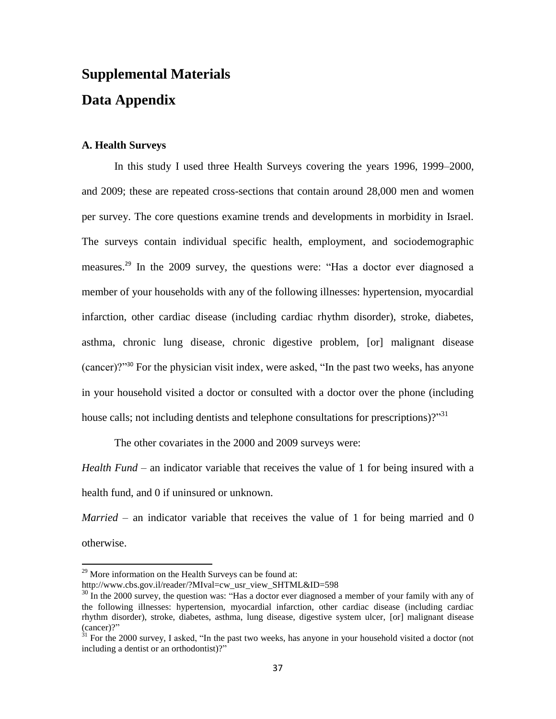# **Supplemental Materials Data Appendix**

## **A. Health Surveys**

In this study I used three Health Surveys covering the years 1996, 1999–2000, and 2009; these are repeated cross-sections that contain around 28,000 men and women per survey. The core questions examine trends and developments in morbidity in Israel. The surveys contain individual specific health, employment, and sociodemographic measures.<sup>29</sup> In the 2009 survey, the questions were: "Has a doctor ever diagnosed a member of your households with any of the following illnesses: hypertension, myocardial infarction, other cardiac disease (including cardiac rhythm disorder), stroke, diabetes, asthma, chronic lung disease, chronic digestive problem, [or] malignant disease (cancer)?"<sup>30</sup> For the physician visit index, were asked, "In the past two weeks, has anyone in your household visited a doctor or consulted with a doctor over the phone (including house calls; not including dentists and telephone consultations for prescriptions)?"<sup>31</sup>

The other covariates in the 2000 and 2009 surveys were:

*Health Fund* – an indicator variable that receives the value of 1 for being insured with a health fund, and 0 if uninsured or unknown.

*Married* – an indicator variable that receives the value of 1 for being married and 0 otherwise.

 $29$  More information on the Health Surveys can be found at:

http://www.cbs.gov.il/reader/?MIval=cw\_usr\_view\_SHTML&ID=598

 $30\text{ In the } 2000 \text{ survey, the question was: "Has a doctor ever diagnosed a member of your family with any of }$ the following illnesses: hypertension, myocardial infarction, other cardiac disease (including cardiac rhythm disorder), stroke, diabetes, asthma, lung disease, digestive system ulcer, [or] malignant disease (cancer)?"

 $31$  For the 2000 survey, I asked, "In the past two weeks, has anyone in your household visited a doctor (not including a dentist or an orthodontist)?"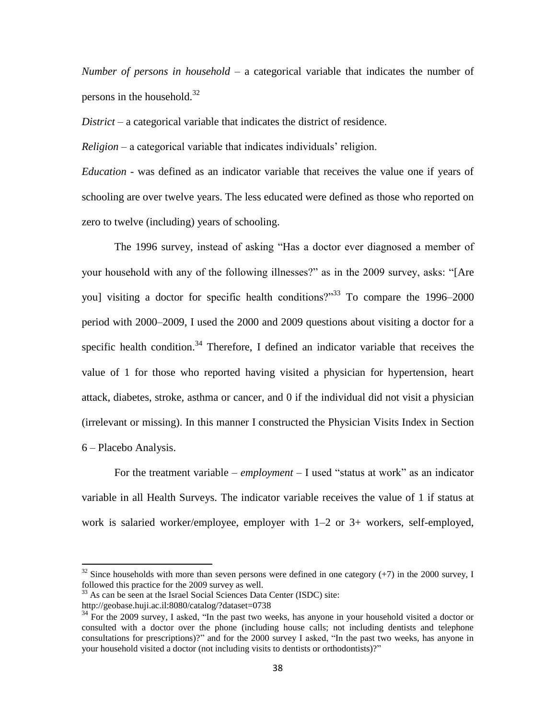*Number of persons in household* – a categorical variable that indicates the number of persons in the household. $32$ 

*District* – a categorical variable that indicates the district of residence.

*Religion* – a categorical variable that indicates individuals' religion.

*Education -* was defined as an indicator variable that receives the value one if years of schooling are over twelve years. The less educated were defined as those who reported on zero to twelve (including) years of schooling.

The 1996 survey, instead of asking "Has a doctor ever diagnosed a member of your household with any of the following illnesses?" as in the 2009 survey, asks: "[Are you] visiting a doctor for specific health conditions?"<sup>33</sup> To compare the 1996–2000 period with 2000–2009, I used the 2000 and 2009 questions about visiting a doctor for a specific health condition.<sup>34</sup> Therefore, I defined an indicator variable that receives the value of 1 for those who reported having visited a physician for hypertension, heart attack, diabetes, stroke, asthma or cancer, and 0 if the individual did not visit a physician (irrelevant or missing). In this manner I constructed the Physician Visits Index in Section 6 – Placebo Analysis.

For the treatment variable – *employment* – I used "status at work" as an indicator variable in all Health Surveys. The indicator variable receives the value of 1 if status at work is salaried worker/employee, employer with 1–2 or 3+ workers, self-employed,

 $32$  Since households with more than seven persons were defined in one category (+7) in the 2000 survey, I followed this practice for the 2009 survey as well.

<sup>&</sup>lt;sup>33</sup> As can be seen at the Israel Social Sciences Data Center (ISDC) site:

http://geobase.huji.ac.il:8080/catalog/?dataset=0738

<sup>&</sup>lt;sup>34</sup> For the 2009 survey, I asked, "In the past two weeks, has anyone in your household visited a doctor or consulted with a doctor over the phone (including house calls; not including dentists and telephone consultations for prescriptions)?" and for the 2000 survey I asked, "In the past two weeks, has anyone in your household visited a doctor (not including visits to dentists or orthodontists)?"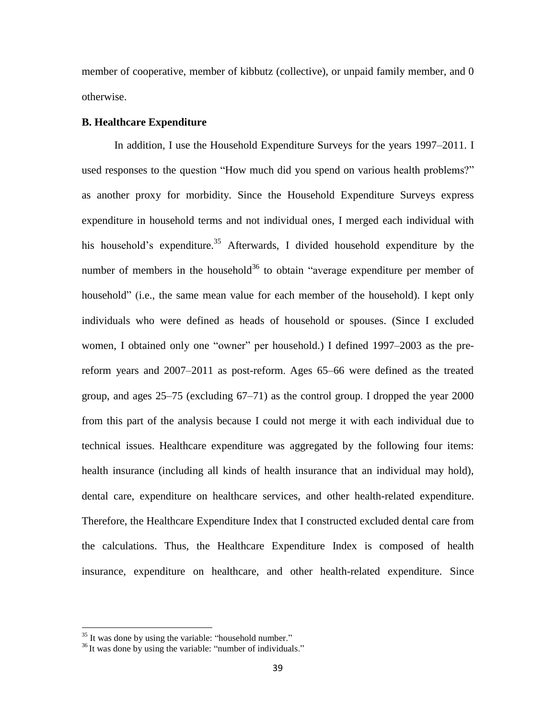member of cooperative, member of kibbutz (collective), or unpaid family member, and 0 otherwise.

#### **B. Healthcare Expenditure**

In addition, I use the Household Expenditure Surveys for the years 1997–2011. I used responses to the question "How much did you spend on various health problems?" as another proxy for morbidity. Since the Household Expenditure Surveys express expenditure in household terms and not individual ones, I merged each individual with his household's expenditure.<sup>35</sup> Afterwards, I divided household expenditure by the number of members in the household<sup>36</sup> to obtain "average expenditure per member of household" (i.e., the same mean value for each member of the household). I kept only individuals who were defined as heads of household or spouses. (Since I excluded women, I obtained only one "owner" per household.) I defined 1997–2003 as the prereform years and 2007–2011 as post-reform. Ages 65–66 were defined as the treated group, and ages 25–75 (excluding 67–71) as the control group. I dropped the year 2000 from this part of the analysis because I could not merge it with each individual due to technical issues. Healthcare expenditure was aggregated by the following four items: health insurance (including all kinds of health insurance that an individual may hold), dental care, expenditure on healthcare services, and other health-related expenditure. Therefore, the Healthcare Expenditure Index that I constructed excluded dental care from the calculations. Thus, the Healthcare Expenditure Index is composed of health insurance, expenditure on healthcare, and other health-related expenditure. Since

 $35$  It was done by using the variable: "household number."

 $36$  It was done by using the variable: "number of individuals."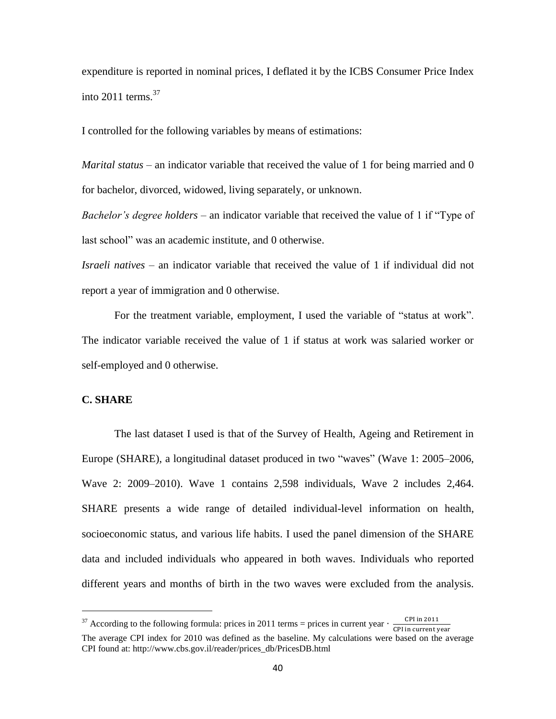expenditure is reported in nominal prices, I deflated it by the ICBS Consumer Price Index into  $2011$  terms.<sup>37</sup>

I controlled for the following variables by means of estimations:

*Marital status* – an indicator variable that received the value of 1 for being married and 0 for bachelor, divorced, widowed, living separately, or unknown.

*Bachelor's degree holders* – an indicator variable that received the value of 1 if "Type of last school" was an academic institute, and 0 otherwise.

*Israeli natives* – an indicator variable that received the value of 1 if individual did not report a year of immigration and 0 otherwise.

For the treatment variable, employment, I used the variable of "status at work". The indicator variable received the value of 1 if status at work was salaried worker or self-employed and 0 otherwise.

#### **C. SHARE**

l

The last dataset I used is that of the Survey of Health, Ageing and Retirement in Europe (SHARE), a longitudinal dataset produced in two "waves" (Wave 1: 2005–2006, Wave 2: 2009–2010). Wave 1 contains 2,598 individuals, Wave 2 includes 2,464. SHARE presents a wide range of detailed individual-level information on health, socioeconomic status, and various life habits. I used the panel dimension of the SHARE data and included individuals who appeared in both waves. Individuals who reported different years and months of birth in the two waves were excluded from the analysis.

<sup>&</sup>lt;sup>37</sup> According to the following formula: prices in 2011 terms = prices in current year  $\cdot \frac{C}{C}$ C The average CPI index for 2010 was defined as the baseline. My calculations were based on the average CPI found at: http://www.cbs.gov.il/reader/prices\_db/PricesDB.html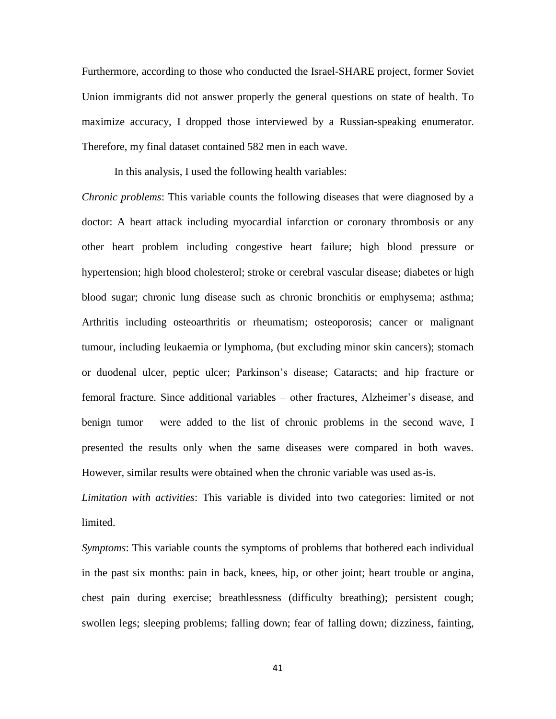Furthermore, according to those who conducted the Israel-SHARE project, former Soviet Union immigrants did not answer properly the general questions on state of health. To maximize accuracy, I dropped those interviewed by a Russian-speaking enumerator. Therefore, my final dataset contained 582 men in each wave.

In this analysis, I used the following health variables:

*Chronic problems*: This variable counts the following diseases that were diagnosed by a doctor: A heart attack including myocardial infarction or coronary thrombosis or any other heart problem including congestive heart failure; high blood pressure or hypertension; high blood cholesterol; stroke or cerebral vascular disease; diabetes or high blood sugar; chronic lung disease such as chronic bronchitis or emphysema; asthma; Arthritis including osteoarthritis or rheumatism; osteoporosis; cancer or malignant tumour, including leukaemia or lymphoma, (but excluding minor skin cancers); stomach or duodenal ulcer, peptic ulcer; Parkinson's disease; Cataracts; and hip fracture or femoral fracture. Since additional variables – other fractures, Alzheimer's disease, and benign tumor – were added to the list of chronic problems in the second wave, I presented the results only when the same diseases were compared in both waves. However, similar results were obtained when the chronic variable was used as-is.

*Limitation with activities*: This variable is divided into two categories: limited or not limited.

*Symptoms*: This variable counts the symptoms of problems that bothered each individual in the past six months: pain in back, knees, hip, or other joint; heart trouble or angina, chest pain during exercise; breathlessness (difficulty breathing); persistent cough; swollen legs; sleeping problems; falling down; fear of falling down; dizziness, fainting,

41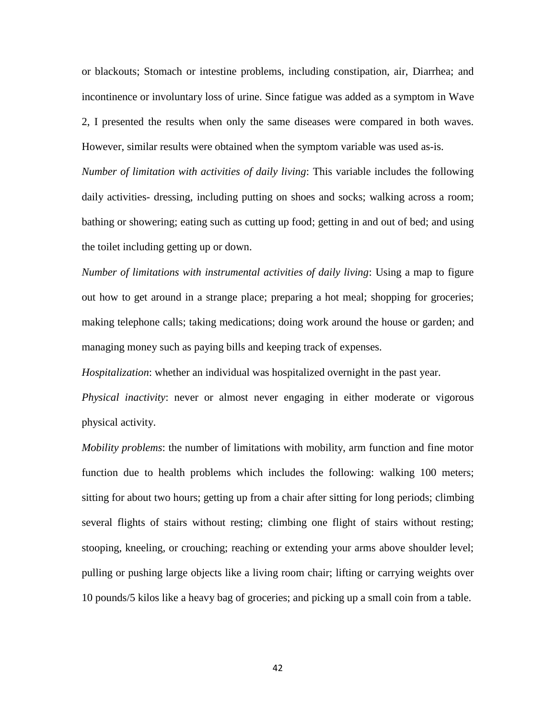or blackouts; Stomach or intestine problems, including constipation, air, Diarrhea; and incontinence or involuntary loss of urine. Since fatigue was added as a symptom in Wave 2, I presented the results when only the same diseases were compared in both waves. However, similar results were obtained when the symptom variable was used as-is. *Number of limitation with activities of daily living*: This variable includes the following daily activities- dressing, including putting on shoes and socks; walking across a room; bathing or showering; eating such as cutting up food; getting in and out of bed; and using the toilet including getting up or down.

*Number of limitations with instrumental activities of daily living*: Using a map to figure out how to get around in a strange place; preparing a hot meal; shopping for groceries; making telephone calls; taking medications; doing work around the house or garden; and managing money such as paying bills and keeping track of expenses.

*Hospitalization*: whether an individual was hospitalized overnight in the past year.

*Physical inactivity*: never or almost never engaging in either moderate or vigorous physical activity.

*Mobility problems*: the number of limitations with mobility, arm function and fine motor function due to health problems which includes the following: walking 100 meters; sitting for about two hours; getting up from a chair after sitting for long periods; climbing several flights of stairs without resting; climbing one flight of stairs without resting; stooping, kneeling, or crouching; reaching or extending your arms above shoulder level; pulling or pushing large objects like a living room chair; lifting or carrying weights over 10 pounds/5 kilos like a heavy bag of groceries; and picking up a small coin from a table.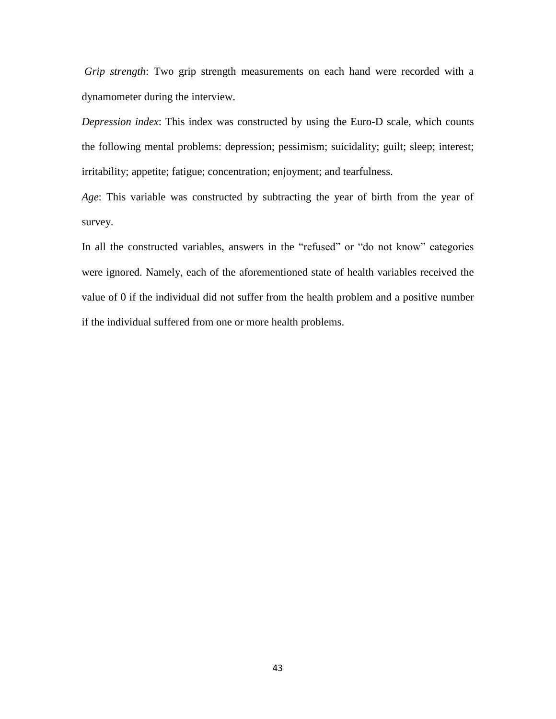*Grip strength*: Two grip strength measurements on each hand were recorded with a dynamometer during the interview.

*Depression index*: This index was constructed by using the Euro-D scale, which counts the following mental problems: depression; pessimism; suicidality; guilt; sleep; interest; irritability; appetite; fatigue; concentration; enjoyment; and tearfulness.

*Age*: This variable was constructed by subtracting the year of birth from the year of survey.

In all the constructed variables, answers in the "refused" or "do not know" categories were ignored. Namely, each of the aforementioned state of health variables received the value of 0 if the individual did not suffer from the health problem and a positive number if the individual suffered from one or more health problems.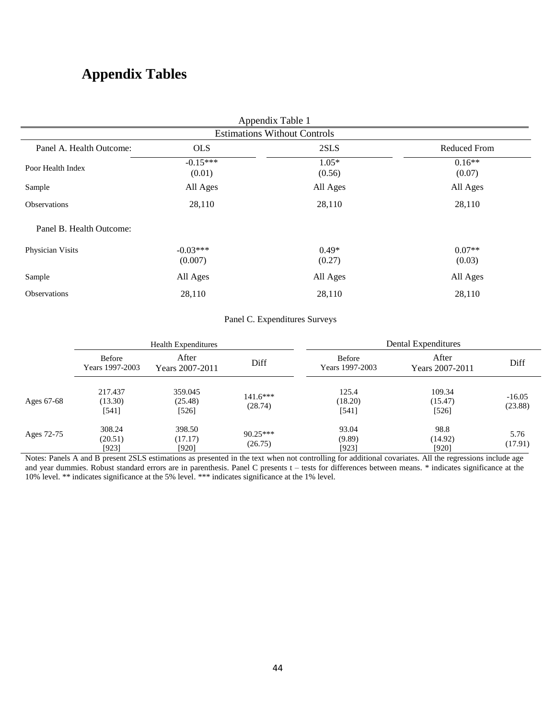## **Appendix Tables**

| Appendix Table 1                    |                       |                   |                     |  |  |
|-------------------------------------|-----------------------|-------------------|---------------------|--|--|
| <b>Estimations Without Controls</b> |                       |                   |                     |  |  |
| Panel A. Health Outcome:            | <b>OLS</b>            | 2SLS              | <b>Reduced From</b> |  |  |
| Poor Health Index                   | $-0.15***$<br>(0.01)  | $1.05*$<br>(0.56) | $0.16**$<br>(0.07)  |  |  |
| Sample                              | All Ages              | All Ages          | All Ages            |  |  |
| <b>Observations</b>                 | 28,110                | 28,110            | 28,110              |  |  |
| Panel B. Health Outcome:            |                       |                   |                     |  |  |
| Physician Visits                    | $-0.03***$<br>(0.007) | $0.49*$<br>(0.27) | $0.07**$<br>(0.03)  |  |  |
| Sample                              | All Ages              | All Ages          | All Ages            |  |  |
| <b>Observations</b>                 | 28,110                | 28,110            | 28,110              |  |  |

## Panel C. Expenditures Surveys

|            | <b>Health Expenditures</b>       |                               |                       | Dental Expenditures       |                              |                     |
|------------|----------------------------------|-------------------------------|-----------------------|---------------------------|------------------------------|---------------------|
|            | <b>Before</b><br>Years 1997-2003 | After<br>Years 2007-2011      | Diff                  | Before<br>Years 1997-2003 | After<br>Years 2007-2011     | Diff                |
| Ages 67-68 | 217.437<br>(13.30)<br>[541]      | 359.045<br>(25.48)<br>$[526]$ | $141.6***$<br>(28.74) | 125.4<br>(18.20)<br>[541] | 109.34<br>(15.47)<br>$[526]$ | $-16.05$<br>(23.88) |
| Ages 72-75 | 308.24<br>(20.51)<br>[923]       | 398.50<br>(17.17)<br>[920]    | $90.25***$<br>(26.75) | 93.04<br>(9.89)<br>[923]  | 98.8<br>(14.92)<br>[920]     | 5.76<br>(17.91)     |

Notes: Panels A and B present 2SLS estimations as presented in the text when not controlling for additional covariates. All the regressions include age and year dummies. Robust standard errors are in parenthesis. Panel C presents t – tests for differences between means. \* indicates significance at the 10% level. \*\* indicates significance at the 5% level. \*\*\* indicates significance at the 1% level.